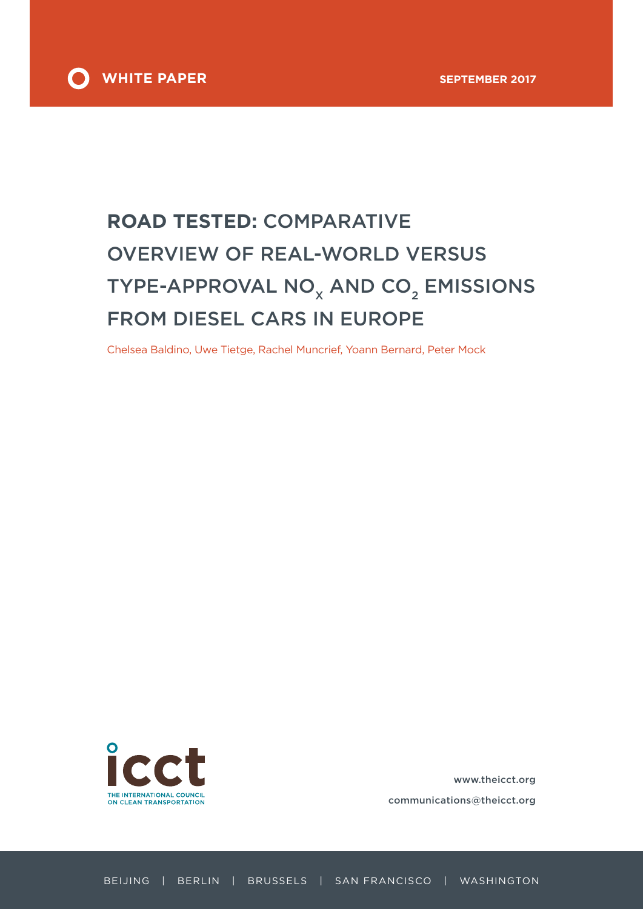

# **ROAD TESTED:** COMPARATIVE OVERVIEW OF REAL-WORLD VERSUS TYPE-APPROVAL  $NO_{x}$  AND  $CO_{2}$  EMISSIONS FROM DIESEL CARS IN EUROPE

Chelsea Baldino, Uwe Tietge, Rachel Muncrief, Yoann Bernard, Peter Mock



www.theicct.org communications@theicct.org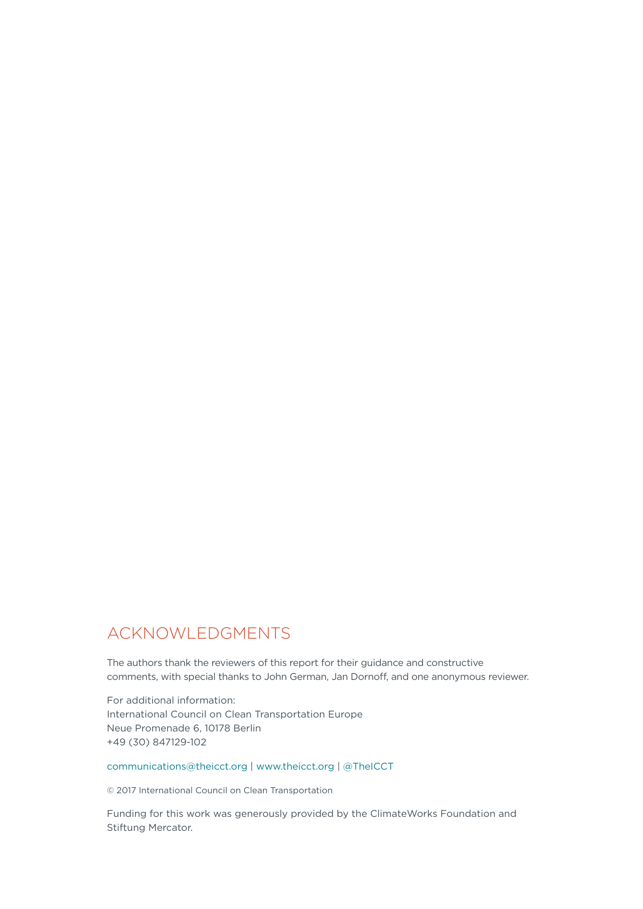## ACKNOWLEDGMENTS

The authors thank the reviewers of this report for their guidance and constructive comments, with special thanks to John German, Jan Dornoff, and one anonymous reviewer.

For additional information: International Council on Clean Transportation Europe Neue Promenade 6, 10178 Berlin +49 (30) 847129-102

[communications@theicct.org](mailto:communications%40theicct.org?subject=) | www.theicct.org | @TheICCT

© 2017 International Council on Clean Transportation

Funding for this work was generously provided by the ClimateWorks Foundation and Stiftung Mercator.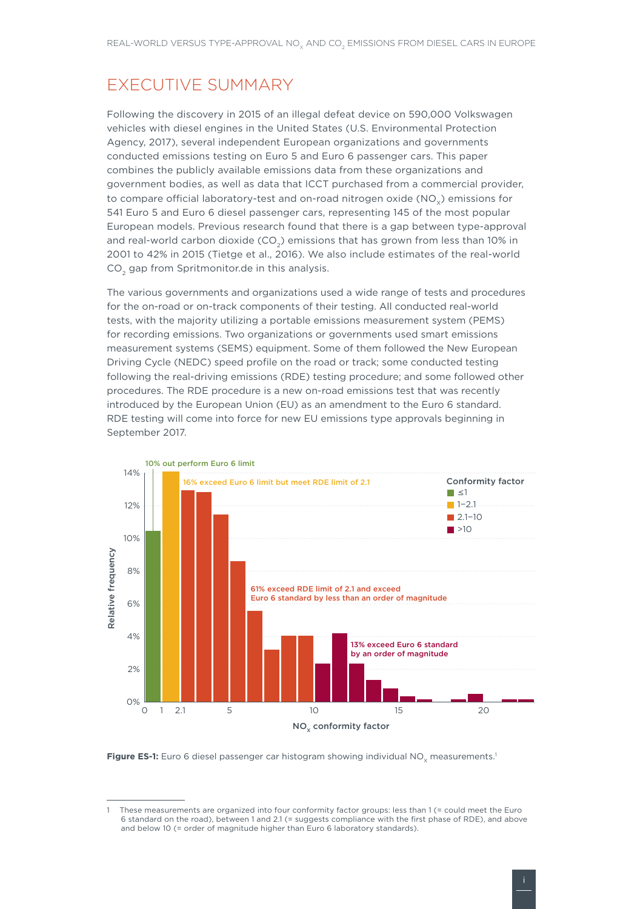# EXECUTIVE SUMMARY

Following the discovery in 2015 of an illegal defeat device on 590,000 Volkswagen vehicles with diesel engines in the United States (U.S. Environmental Protection Agency, 2017), several independent European organizations and governments conducted emissions testing on Euro 5 and Euro 6 passenger cars. This paper combines the publicly available emissions data from these organizations and government bodies, as well as data that ICCT purchased from a commercial provider, to compare official laboratory-test and on-road nitrogen oxide (NO<sub>v</sub>) emissions for 541 Euro 5 and Euro 6 diesel passenger cars, representing 145 of the most popular European models. Previous research found that there is a gap between type-approval and real-world carbon dioxide  $(CO<sub>2</sub>)$  emissions that has grown from less than 10% in 2001 to 42% in 2015 (Tietge et al., 2016). We also include estimates of the real-world CO<sub>2</sub> gap from Spritmonitor.de in this analysis.

The various governments and organizations used a wide range of tests and procedures for the on-road or on-track components of their testing. All conducted real-world tests, with the majority utilizing a portable emissions measurement system (PEMS) for recording emissions. Two organizations or governments used smart emissions measurement systems (SEMS) equipment. Some of them followed the New European Driving Cycle (NEDC) speed profile on the road or track; some conducted testing following the real-driving emissions (RDE) testing procedure; and some followed other procedures. The RDE procedure is a new on-road emissions test that was recently introduced by the European Union (EU) as an amendment to the Euro 6 standard. RDE testing will come into force for new EU emissions type approvals beginning in September 2017.



Figure ES-1: Euro 6 diesel passenger car histogram showing individual NO<sub>y</sub> measurements.<sup>1</sup>

These measurements are organized into four conformity factor groups: less than 1 (= could meet the Euro 6 standard on the road), between 1 and 2.1 (= suggests compliance with the first phase of RDE), and above and below 10 (= order of magnitude higher than Euro 6 laboratory standards).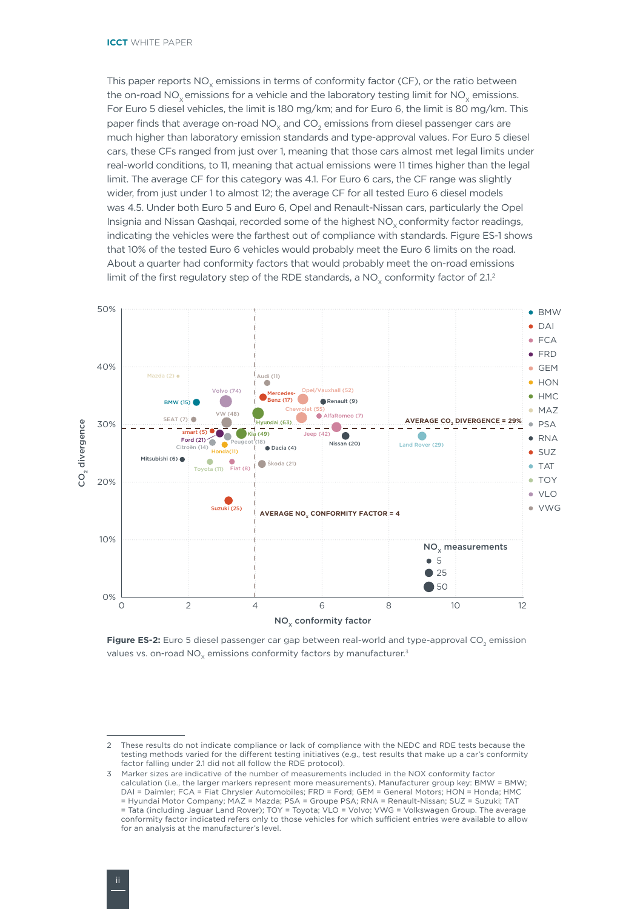This paper reports  $NO<sub>x</sub>$  emissions in terms of conformity factor (CF), or the ratio between the on-road NO<sub>x</sub> emissions for a vehicle and the laboratory testing limit for NO<sub>x</sub> emissions. For Euro 5 diesel vehicles, the limit is 180 mg/km; and for Euro 6, the limit is 80 mg/km. This paper finds that average on-road NO<sub>v</sub> and CO<sub>2</sub> emissions from diesel passenger cars are much higher than laboratory emission standards and type-approval values. For Euro 5 diesel cars, these CFs ranged from just over 1, meaning that those cars almost met legal limits under real-world conditions, to 11, meaning that actual emissions were 11 times higher than the legal limit. The average CF for this category was 4.1. For Euro 6 cars, the CF range was slightly wider, from just under 1 to almost 12; the average CF for all tested Euro 6 diesel models was 4.5. Under both Euro 5 and Euro 6, Opel and Renault-Nissan cars, particularly the Opel Insignia and Nissan Qashqai, recorded some of the highest NO<sub>v</sub> conformity factor readings, indicating the vehicles were the farthest out of compliance with standards. Figure ES-1 shows that 10% of the tested Euro 6 vehicles would probably meet the Euro 6 limits on the road. About a quarter had conformity factors that would probably meet the on-road emissions limit of the first regulatory step of the RDE standards, a NO<sub>x</sub> conformity factor of  $2.1<sup>2</sup>$ 



Figure ES-2: Euro 5 diesel passenger car gap between real-world and type-approval CO<sub>2</sub> emission values vs. on-road  $NO<sub>x</sub>$  emissions conformity factors by manufacturer.<sup>3</sup>

<sup>2</sup> These results do not indicate compliance or lack of compliance with the NEDC and RDE tests because the testing methods varied for the different testing initiatives (e.g., test results that make up a car's conformity factor falling under 2.1 did not all follow the RDE protocol).

<sup>3</sup> Marker sizes are indicative of the number of measurements included in the NOX conformity factor calculation (i.e., the larger markers represent more measurements). Manufacturer group key: BMW = BMW; DAI = Daimler; FCA = Fiat Chrysler Automobiles; FRD = Ford; GEM = General Motors; HON = Honda; HMC = Hyundai Motor Company; MAZ = Mazda; PSA = Groupe PSA; RNA = Renault-Nissan; SUZ = Suzuki; TAT = Tata (including Jaguar Land Rover); TOY = Toyota; VLO = Volvo; VWG = Volkswagen Group. The average conformity factor indicated refers only to those vehicles for which sufficient entries were available to allow for an analysis at the manufacturer's level.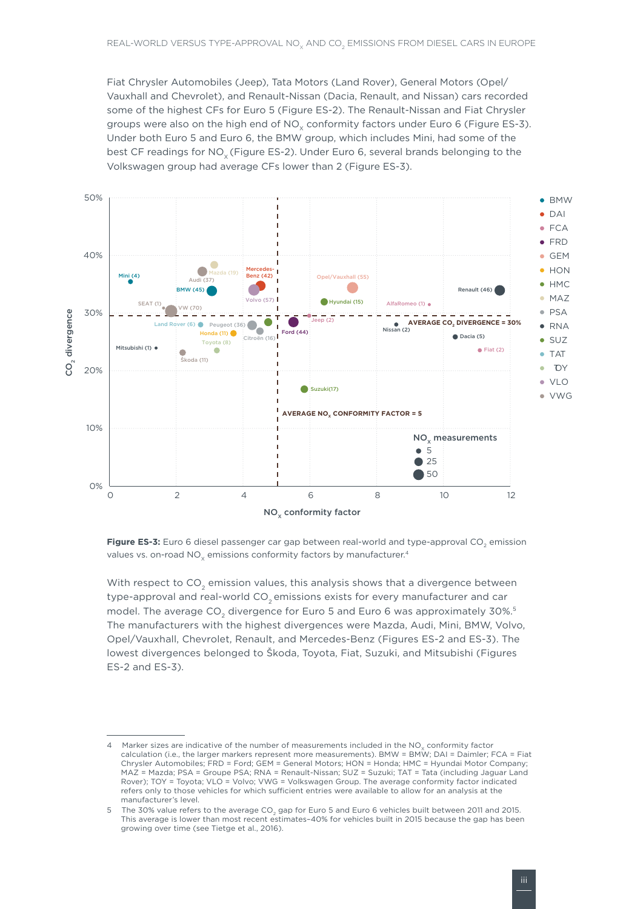Fiat Chrysler Automobiles (Jeep), Tata Motors (Land Rover), General Motors (Opel/ Vauxhall and Chevrolet), and Renault-Nissan (Dacia, Renault, and Nissan) cars recorded some of the highest CFs for Euro 5 (Figure ES-2). The Renault-Nissan and Fiat Chrysler groups were also on the high end of  $NO<sub>x</sub>$  conformity factors under Euro 6 (Figure ES-3). Under both Euro 5 and Euro 6, the BMW group, which includes Mini, had some of the best CF readings for NO<sub>v</sub> (Figure ES-2). Under Euro 6, several brands belonging to the Volkswagen group had average CFs lower than 2 (Figure ES-3).



Figure ES-3: Euro 6 diesel passenger car gap between real-world and type-approval CO<sub>2</sub> emission values vs. on-road  $NO<sub>v</sub>$  emissions conformity factors by manufacturer.<sup>4</sup>

With respect to  $CO<sub>2</sub>$  emission values, this analysis shows that a divergence between type-approval and real-world CO<sub>2</sub> emissions exists for every manufacturer and car model. The average CO<sub>2</sub> divergence for Euro 5 and Euro 6 was approximately 30%.<sup>5</sup> The manufacturers with the highest divergences were Mazda, Audi, Mini, BMW, Volvo, Opel/Vauxhall, Chevrolet, Renault, and Mercedes-Benz (Figures ES-2 and ES-3). The lowest divergences belonged to Škoda, Toyota, Fiat, Suzuki, and Mitsubishi (Figures ES-2 and ES-3).

<sup>4</sup> Marker sizes are indicative of the number of measurements included in the  $NO<sub>v</sub>$  conformity factor calculation (i.e., the larger markers represent more measurements). BMW = BMW; DAI = Daimler; FCA = Fiat Chrysler Automobiles; FRD = Ford; GEM = General Motors; HON = Honda; HMC = Hyundai Motor Company; MAZ = Mazda; PSA = Groupe PSA; RNA = Renault-Nissan; SUZ = Suzuki; TAT = Tata (including Jaguar Land Rover); TOY = Toyota; VLO = Volvo; VWG = Volkswagen Group. The average conformity factor indicated refers only to those vehicles for which sufficient entries were available to allow for an analysis at the manufacturer's level.

<sup>5</sup> The 30% value refers to the average CO<sub>2</sub> gap for Euro 5 and Euro 6 vehicles built between 2011 and 2015. This average is lower than most recent estimates–40% for vehicles built in 2015 because the gap has been growing over time (see Tietge et al., 2016).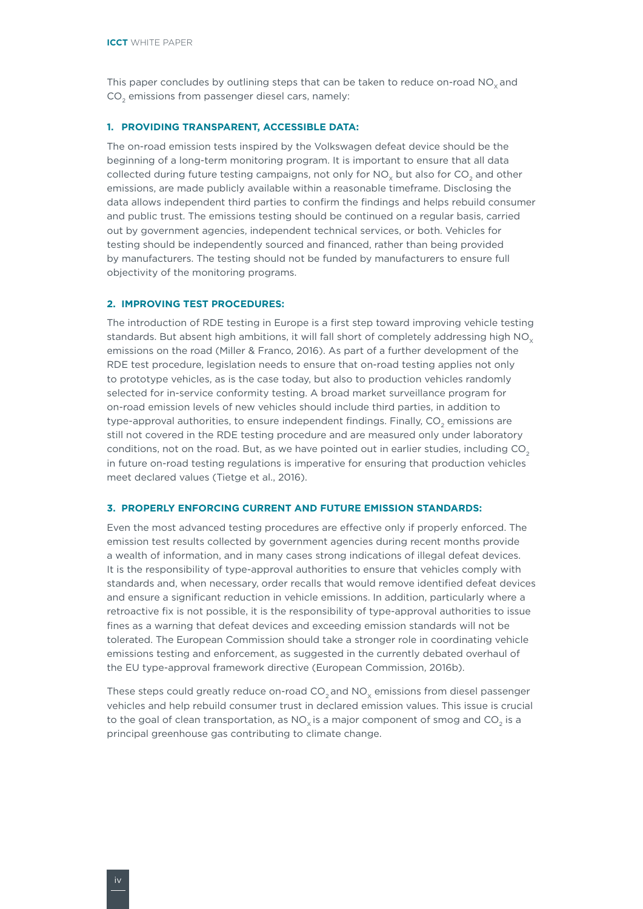This paper concludes by outlining steps that can be taken to reduce on-road  $NO<sub>v</sub>$  and CO<sub>2</sub> emissions from passenger diesel cars, namely:

### **1. PROVIDING TRANSPARENT, ACCESSIBLE DATA:**

The on-road emission tests inspired by the Volkswagen defeat device should be the beginning of a long-term monitoring program. It is important to ensure that all data collected during future testing campaigns, not only for  $NO<sub>y</sub>$  but also for  $CO<sub>2</sub>$  and other emissions, are made publicly available within a reasonable timeframe. Disclosing the data allows independent third parties to confirm the findings and helps rebuild consumer and public trust. The emissions testing should be continued on a regular basis, carried out by government agencies, independent technical services, or both. Vehicles for testing should be independently sourced and financed, rather than being provided by manufacturers. The testing should not be funded by manufacturers to ensure full objectivity of the monitoring programs.

### **2. IMPROVING TEST PROCEDURES:**

The introduction of RDE testing in Europe is a first step toward improving vehicle testing standards. But absent high ambitions, it will fall short of completely addressing high NO<sub>y</sub> emissions on the road (Miller & Franco, 2016). As part of a further development of the RDE test procedure, legislation needs to ensure that on-road testing applies not only to prototype vehicles, as is the case today, but also to production vehicles randomly selected for in-service conformity testing. A broad market surveillance program for on-road emission levels of new vehicles should include third parties, in addition to type-approval authorities, to ensure independent findings. Finally, CO<sub>2</sub> emissions are still not covered in the RDE testing procedure and are measured only under laboratory conditions, not on the road. But, as we have pointed out in earlier studies, including CO<sub>2</sub> in future on-road testing regulations is imperative for ensuring that production vehicles meet declared values (Tietge et al., 2016).

#### **3. PROPERLY ENFORCING CURRENT AND FUTURE EMISSION STANDARDS:**

Even the most advanced testing procedures are effective only if properly enforced. The emission test results collected by government agencies during recent months provide a wealth of information, and in many cases strong indications of illegal defeat devices. It is the responsibility of type-approval authorities to ensure that vehicles comply with standards and, when necessary, order recalls that would remove identified defeat devices and ensure a significant reduction in vehicle emissions. In addition, particularly where a retroactive fix is not possible, it is the responsibility of type-approval authorities to issue fines as a warning that defeat devices and exceeding emission standards will not be tolerated. The European Commission should take a stronger role in coordinating vehicle emissions testing and enforcement, as suggested in the currently debated overhaul of the EU type-approval framework directive (European Commission, 2016b).

These steps could greatly reduce on-road  $CO<sub>2</sub>$  and  $NO<sub>v</sub>$  emissions from diesel passenger vehicles and help rebuild consumer trust in declared emission values. This issue is crucial to the goal of clean transportation, as  $NO_x$  is a major component of smog and CO<sub>2</sub> is a principal greenhouse gas contributing to climate change.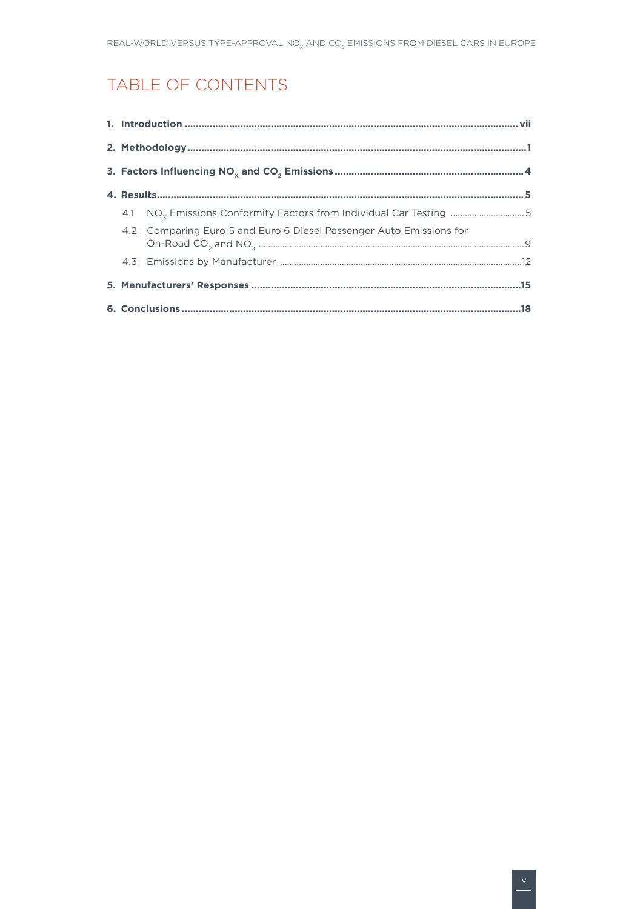# TABLE OF CONTENTS

|  | 4.1 NO <sub>x</sub> Emissions Conformity Factors from Individual Car Testing 5 |  |  |  |  |  |  |
|--|--------------------------------------------------------------------------------|--|--|--|--|--|--|
|  | 4.2 Comparing Euro 5 and Euro 6 Diesel Passenger Auto Emissions for            |  |  |  |  |  |  |
|  |                                                                                |  |  |  |  |  |  |
|  |                                                                                |  |  |  |  |  |  |
|  |                                                                                |  |  |  |  |  |  |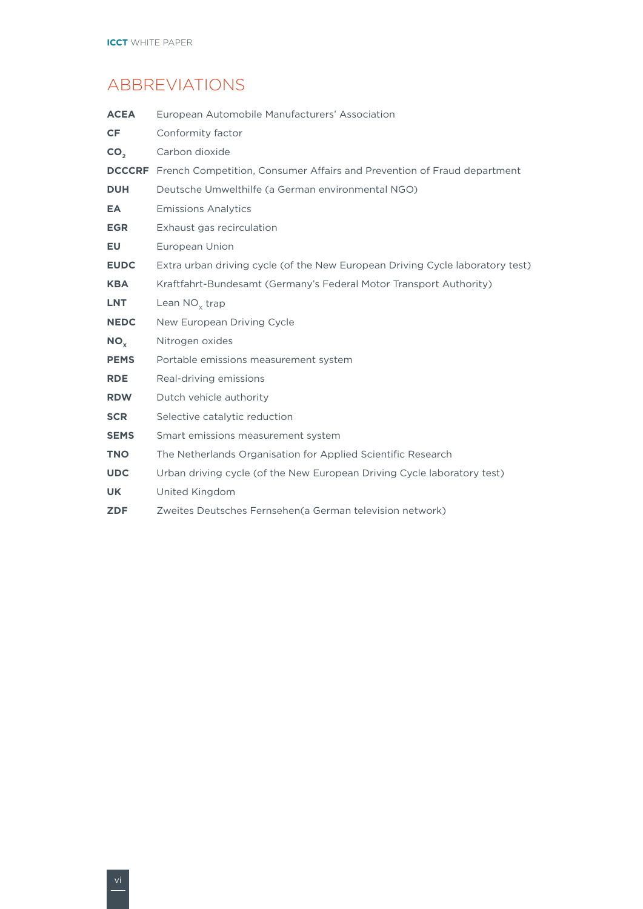# ABBREVIATIONS

| <b>ACEA</b>     | European Automobile Manufacturers' Association                                        |
|-----------------|---------------------------------------------------------------------------------------|
| <b>CF</b>       | Conformity factor                                                                     |
| CO <sub>2</sub> | Carbon dioxide                                                                        |
|                 | <b>DCCCRF</b> French Competition, Consumer Affairs and Prevention of Fraud department |
| <b>DUH</b>      | Deutsche Umwelthilfe (a German environmental NGO)                                     |
| EA              | <b>Emissions Analytics</b>                                                            |
| <b>EGR</b>      | Exhaust gas recirculation                                                             |
| EU              | European Union                                                                        |
| <b>EUDC</b>     | Extra urban driving cycle (of the New European Driving Cycle laboratory test)         |
| <b>KBA</b>      | Kraftfahrt-Bundesamt (Germany's Federal Motor Transport Authority)                    |
| <b>LNT</b>      | Lean $NO_{x}$ trap                                                                    |
| <b>NEDC</b>     | New European Driving Cycle                                                            |
| $NO_{\rm v}$    | Nitrogen oxides                                                                       |
| <b>PEMS</b>     | Portable emissions measurement system                                                 |
| <b>RDE</b>      | Real-driving emissions                                                                |
| <b>RDW</b>      | Dutch vehicle authority                                                               |
| <b>SCR</b>      | Selective catalytic reduction                                                         |
| <b>SEMS</b>     | Smart emissions measurement system                                                    |
| <b>TNO</b>      | The Netherlands Organisation for Applied Scientific Research                          |
| <b>UDC</b>      | Urban driving cycle (of the New European Driving Cycle laboratory test)               |
| UK              | United Kingdom                                                                        |
| <b>ZDF</b>      | Zweites Deutsches Fernsehen (a German television network)                             |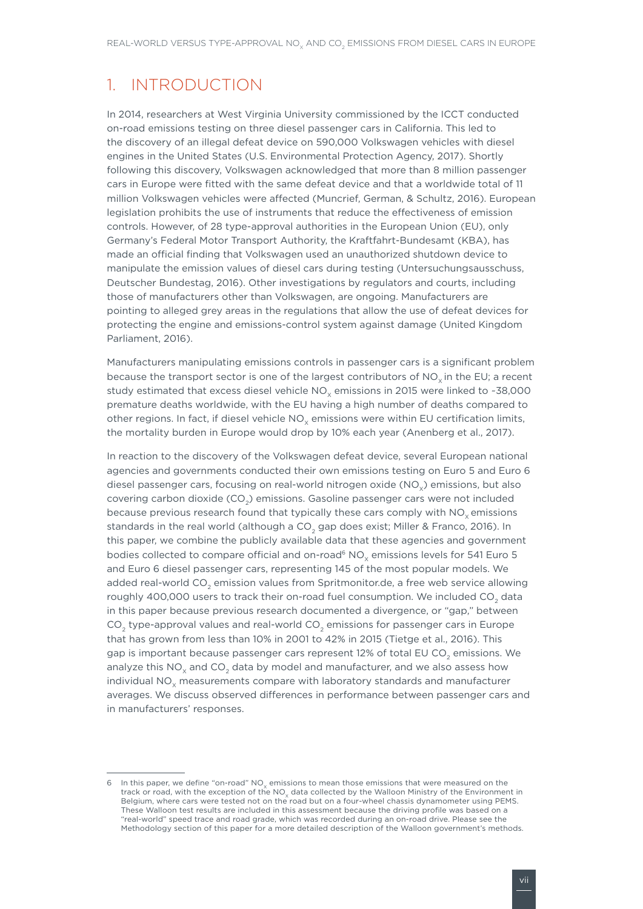## <span id="page-8-0"></span>1. INTRODUCTION

In 2014, researchers at West Virginia University commissioned by the ICCT conducted on-road emissions testing on three diesel passenger cars in California. This led to the discovery of an illegal defeat device on 590,000 Volkswagen vehicles with diesel engines in the United States (U.S. Environmental Protection Agency, 2017). Shortly following this discovery, Volkswagen acknowledged that more than 8 million passenger cars in Europe were fitted with the same defeat device and that a worldwide total of 11 million Volkswagen vehicles were affected (Muncrief, German, & Schultz, 2016). European legislation prohibits the use of instruments that reduce the effectiveness of emission controls. However, of 28 type-approval authorities in the European Union (EU), only Germany's Federal Motor Transport Authority, the Kraftfahrt-Bundesamt (KBA), has made an official finding that Volkswagen used an unauthorized shutdown device to manipulate the emission values of diesel cars during testing (Untersuchungsausschuss, Deutscher Bundestag, 2016). Other investigations by regulators and courts, including those of manufacturers other than Volkswagen, are ongoing. Manufacturers are pointing to alleged grey areas in the regulations that allow the use of defeat devices for protecting the engine and emissions-control system against damage (United Kingdom Parliament, 2016).

Manufacturers manipulating emissions controls in passenger cars is a significant problem because the transport sector is one of the largest contributors of NO<sub>v</sub> in the EU; a recent study estimated that excess diesel vehicle  $NO<sub>v</sub>$  emissions in 2015 were linked to ~38,000 premature deaths worldwide, with the EU having a high number of deaths compared to other regions. In fact, if diesel vehicle  $NO<sub>x</sub>$  emissions were within EU certification limits, the mortality burden in Europe would drop by 10% each year (Anenberg et al., 2017).

In reaction to the discovery of the Volkswagen defeat device, several European national agencies and governments conducted their own emissions testing on Euro 5 and Euro 6 diesel passenger cars, focusing on real-world nitrogen oxide (NO<sub>x</sub>) emissions, but also covering carbon dioxide (CO<sub>2</sub>) emissions. Gasoline passenger cars were not included because previous research found that typically these cars comply with  $NO<sub>v</sub>$  emissions standards in the real world (although a CO<sub>2</sub> gap does exist; Miller & Franco, 2016). In this paper, we combine the publicly available data that these agencies and government bodies collected to compare official and on-road<sup>6</sup> NO<sub>y</sub> emissions levels for 541 Euro 5 and Euro 6 diesel passenger cars, representing 145 of the most popular models. We added real-world CO<sub>2</sub> emission values from Spritmonitor.de, a free web service allowing roughly 400,000 users to track their on-road fuel consumption. We included CO<sub>2</sub> data in this paper because previous research documented a divergence, or "gap," between CO<sub>2</sub> type-approval values and real-world CO<sub>2</sub> emissions for passenger cars in Europe that has grown from less than 10% in 2001 to 42% in 2015 (Tietge et al., 2016). This gap is important because passenger cars represent 12% of total EU CO<sub>2</sub> emissions. We analyze this  $NO<sub>x</sub>$  and  $CO<sub>2</sub>$  data by model and manufacturer, and we also assess how individual NO<sub>y</sub> measurements compare with laboratory standards and manufacturer averages. We discuss observed differences in performance between passenger cars and in manufacturers' responses.

<sup>6</sup> In this paper, we define "on-road"  $NO_x$  emissions to mean those emissions that were measured on the track or road, with the exception of the  $NO<sub>x</sub>$  data collected by the Walloon Ministry of the Environment in Belgium, where cars were tested not on the road but on a four-wheel chassis dynamometer using PEMS. These Walloon test results are included in this assessment because the driving profile was based on a "real-world" speed trace and road grade, which was recorded during an on-road drive. Please see the Methodology section of this paper for a more detailed description of the Walloon government's methods.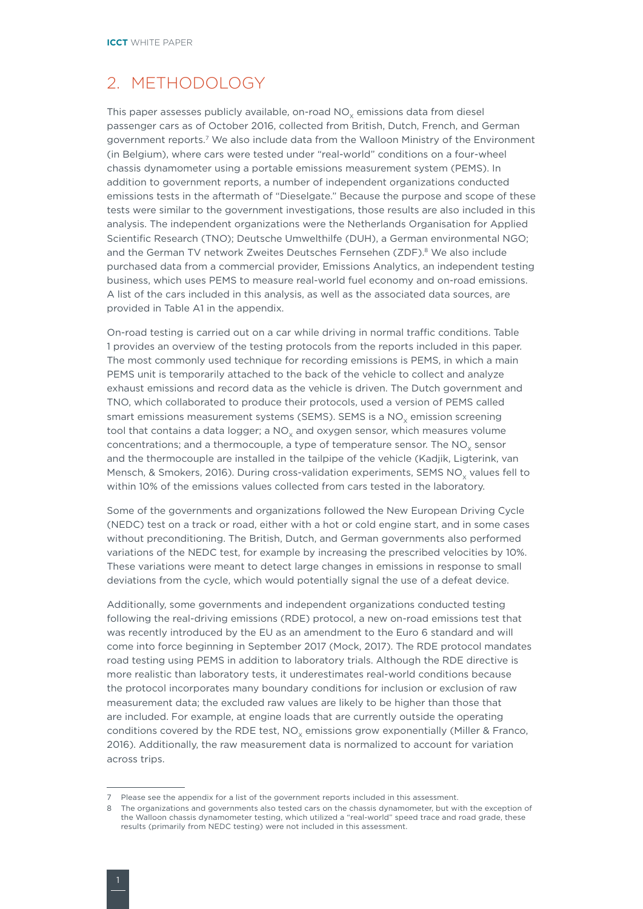### <span id="page-9-0"></span>2. METHODOLOGY

This paper assesses publicly available, on-road  $NO<sub>x</sub>$  emissions data from diesel passenger cars as of October 2016, collected from British, Dutch, French, and German government reports.7 We also include data from the Walloon Ministry of the Environment (in Belgium), where cars were tested under "real-world" conditions on a four-wheel chassis dynamometer using a portable emissions measurement system (PEMS). In addition to government reports, a number of independent organizations conducted emissions tests in the aftermath of "Dieselgate." Because the purpose and scope of these tests were similar to the government investigations, those results are also included in this analysis. The independent organizations were the Netherlands Organisation for Applied Scientific Research (TNO); Deutsche Umwelthilfe (DUH), a German environmental NGO; and the German TV network Zweites Deutsches Fernsehen (ZDF).<sup>8</sup> We also include purchased data from a commercial provider, Emissions Analytics, an independent testing business, which uses PEMS to measure real-world fuel economy and on-road emissions. A list of the cars included in this analysis, as well as the associated data sources, are provided in Table A1 in the appendix.

On-road testing is carried out on a car while driving in normal traffic conditions. Table 1 provides an overview of the testing protocols from the reports included in this paper. The most commonly used technique for recording emissions is PEMS, in which a main PEMS unit is temporarily attached to the back of the vehicle to collect and analyze exhaust emissions and record data as the vehicle is driven. The Dutch government and TNO, which collaborated to produce their protocols, used a version of PEMS called smart emissions measurement systems (SEMS). SEMS is a NO<sub>v</sub> emission screening tool that contains a data logger; a  $NO<sub>x</sub>$  and oxygen sensor, which measures volume concentrations; and a thermocouple, a type of temperature sensor. The  $NO<sub>v</sub>$  sensor and the thermocouple are installed in the tailpipe of the vehicle (Kadjik, Ligterink, van Mensch, & Smokers, 2016). During cross-validation experiments, SEMS NO<sub>v</sub> values fell to within 10% of the emissions values collected from cars tested in the laboratory.

Some of the governments and organizations followed the New European Driving Cycle (NEDC) test on a track or road, either with a hot or cold engine start, and in some cases without preconditioning. The British, Dutch, and German governments also performed variations of the NEDC test, for example by increasing the prescribed velocities by 10%. These variations were meant to detect large changes in emissions in response to small deviations from the cycle, which would potentially signal the use of a defeat device.

Additionally, some governments and independent organizations conducted testing following the real-driving emissions (RDE) protocol, a new on-road emissions test that was recently introduced by the EU as an amendment to the Euro 6 standard and will come into force beginning in September 2017 (Mock, 2017). The RDE protocol mandates road testing using PEMS in addition to laboratory trials. Although the RDE directive is more realistic than laboratory tests, it underestimates real-world conditions because the protocol incorporates many boundary conditions for inclusion or exclusion of raw measurement data; the excluded raw values are likely to be higher than those that are included. For example, at engine loads that are currently outside the operating conditions covered by the RDE test, NO<sub>v</sub> emissions grow exponentially (Miller & Franco, 2016). Additionally, the raw measurement data is normalized to account for variation across trips.

<sup>7</sup> Please see the appendix for a list of the government reports included in this assessment.

<sup>8</sup> The organizations and governments also tested cars on the chassis dynamometer, but with the exception of the Walloon chassis dynamometer testing, which utilized a "real-world" speed trace and road grade, these results (primarily from NEDC testing) were not included in this assessment.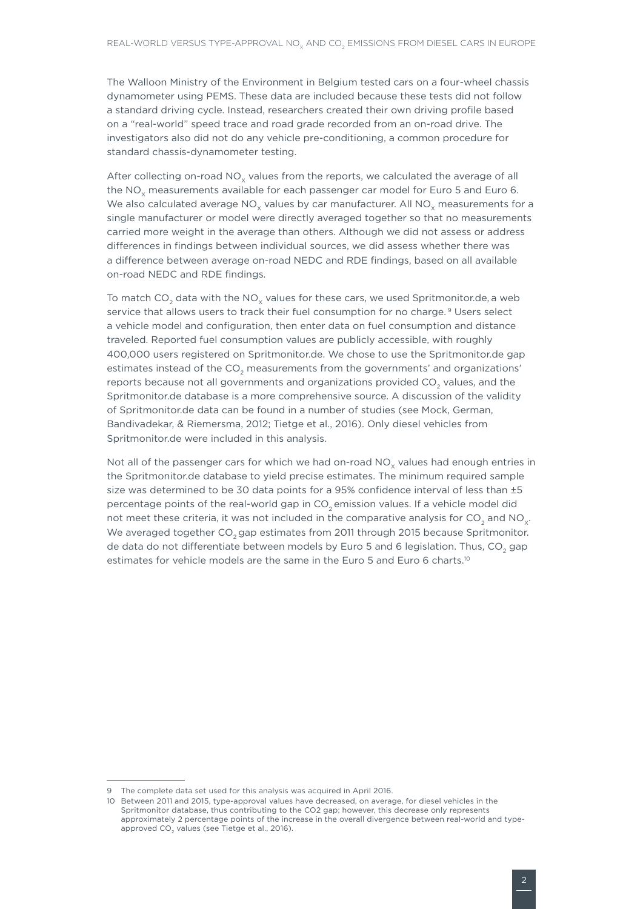The Walloon Ministry of the Environment in Belgium tested cars on a four-wheel chassis dynamometer using PEMS. These data are included because these tests did not follow a standard driving cycle. Instead, researchers created their own driving profile based on a "real-world" speed trace and road grade recorded from an on-road drive. The investigators also did not do any vehicle pre-conditioning, a common procedure for standard chassis-dynamometer testing.

After collecting on-road  $NO<sub>x</sub>$  values from the reports, we calculated the average of all the  $NO<sub>x</sub>$  measurements available for each passenger car model for Euro 5 and Euro 6. We also calculated average  $NO<sub>x</sub>$  values by car manufacturer. All  $NO<sub>x</sub>$  measurements for a single manufacturer or model were directly averaged together so that no measurements carried more weight in the average than others. Although we did not assess or address differences in findings between individual sources, we did assess whether there was a difference between average on-road NEDC and RDE findings, based on all available on-road NEDC and RDE findings.

To match CO<sub>2</sub> data with the NO<sub>y</sub> values for these cars, we used Spritmonitor.de, a web service that allows users to track their fuel consumption for no charge.<sup>9</sup> Users select a vehicle model and configuration, then enter data on fuel consumption and distance traveled. Reported fuel consumption values are publicly accessible, with roughly 400,000 users registered on Spritmonitor.de. We chose to use the Spritmonitor.de gap estimates instead of the CO<sub>2</sub> measurements from the governments' and organizations' reports because not all governments and organizations provided CO<sub>2</sub> values, and the Spritmonitor.de database is a more comprehensive source. A discussion of the validity of Spritmonitor.de data can be found in a number of studies (see Mock, German, Bandivadekar, & Riemersma, 2012; Tietge et al., 2016). Only diesel vehicles from Spritmonitor.de were included in this analysis.

Not all of the passenger cars for which we had on-road  $NO<sub>x</sub>$  values had enough entries in the Spritmonitor.de database to yield precise estimates. The minimum required sample size was determined to be 30 data points for a 95% confidence interval of less than ±5 percentage points of the real-world gap in CO<sub>2</sub> emission values. If a vehicle model did not meet these criteria, it was not included in the comparative analysis for  $CO<sub>2</sub>$  and NO<sub>y</sub>. We averaged together CO<sub>2</sub> gap estimates from 2011 through 2015 because Spritmonitor. de data do not differentiate between models by Euro 5 and 6 legislation. Thus, CO<sub>2</sub> gap estimates for vehicle models are the same in the Euro 5 and Euro 6 charts.<sup>10</sup>

<sup>9</sup> The complete data set used for this analysis was acquired in April 2016.

<sup>10</sup> Between 2011 and 2015, type-approval values have decreased, on average, for diesel vehicles in the Spritmonitor database, thus contributing to the CO2 gap; however, this decrease only represents approximately 2 percentage points of the increase in the overall divergence between real-world and typeapproved  $CO<sub>2</sub>$  values (see Tietge et al., 2016).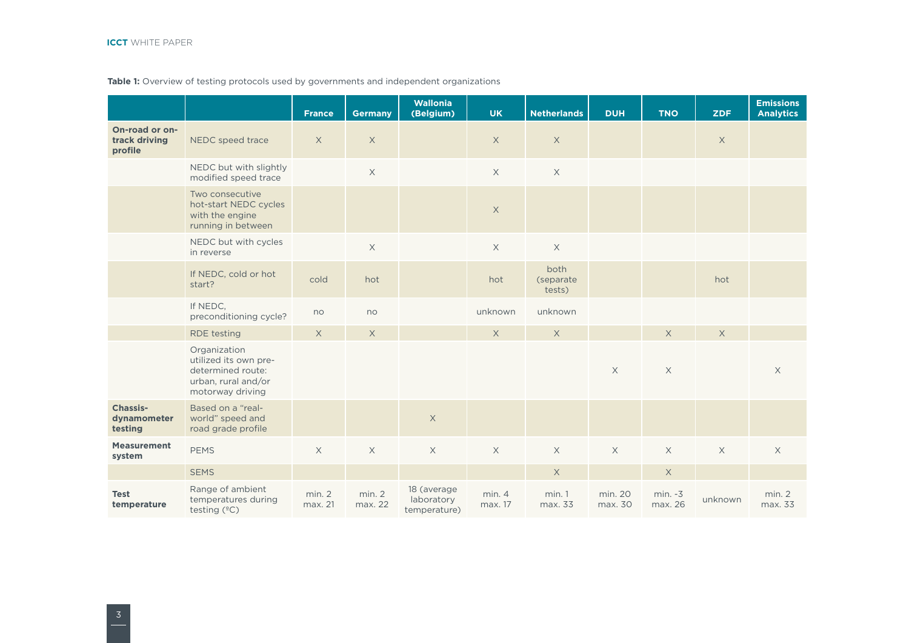### Table 1: Overview of testing protocols used by governments and independent organizations

|                                            |                                                                                                       | <b>France</b>     | <b>Germany</b>    | Wallonia<br>(Belgium)                     | <b>UK</b>        | <b>Netherlands</b>          | <b>DUH</b>         | <b>TNO</b>           | <b>ZDF</b>  | <b>Emissions</b><br><b>Analytics</b> |
|--------------------------------------------|-------------------------------------------------------------------------------------------------------|-------------------|-------------------|-------------------------------------------|------------------|-----------------------------|--------------------|----------------------|-------------|--------------------------------------|
| On-road or on-<br>track driving<br>profile | NEDC speed trace                                                                                      | X                 | $\times$          |                                           | $\times$         | $\times$                    |                    |                      | $\times$    |                                      |
|                                            | NEDC but with slightly<br>modified speed trace                                                        |                   | $\mathsf X$       |                                           | $\mathsf X$      | $\mathsf X$                 |                    |                      |             |                                      |
|                                            | Two consecutive<br>hot-start NEDC cycles<br>with the engine<br>running in between                     |                   |                   |                                           | $\mathsf X$      |                             |                    |                      |             |                                      |
|                                            | NEDC but with cycles<br>in reverse                                                                    |                   | $\mathsf X$       |                                           | $\times$         | $\mathsf X$                 |                    |                      |             |                                      |
|                                            | If NEDC, cold or hot<br>start?                                                                        | cold              | hot               |                                           | hot              | both<br>(separate<br>tests) |                    |                      | hot         |                                      |
|                                            | If NEDC,<br>preconditioning cycle?                                                                    | no                | no                |                                           | unknown          | unknown                     |                    |                      |             |                                      |
|                                            | <b>RDE</b> testing                                                                                    | $\times$          | $\times$          |                                           | $\times$         | $\times$                    |                    | $\mathsf X$          | $\times$    |                                      |
|                                            | Organization<br>utilized its own pre-<br>determined route:<br>urban, rural and/or<br>motorway driving |                   |                   |                                           |                  |                             | $\mathsf X$        | $\mathsf X$          |             | $\times$                             |
| Chassis-<br>dynamometer<br>testing         | Based on a "real-<br>world" speed and<br>road grade profile                                           |                   |                   | $\mathsf X$                               |                  |                             |                    |                      |             |                                      |
| <b>Measurement</b><br>system               | <b>PEMS</b>                                                                                           | $\times$          | $\mathsf X$       | $\mathsf X$                               | $\mathsf X$      | $\mathsf X$                 | $\mathsf X$        | $\mathsf X$          | $\mathsf X$ | $\mathsf X$                          |
|                                            | <b>SEMS</b>                                                                                           |                   |                   |                                           |                  | $\mathsf X$                 |                    | $\mathsf X$          |             |                                      |
| <b>Test</b><br>temperature                 | Range of ambient<br>temperatures during<br>testing (°C)                                               | min. 2<br>max. 21 | min. 2<br>max. 22 | 18 (average<br>laboratory<br>temperature) | min.4<br>max. 17 | min.1<br>max. 33            | min. 20<br>max. 30 | $min. -3$<br>max. 26 | unknown     | min. 2<br>max. 33                    |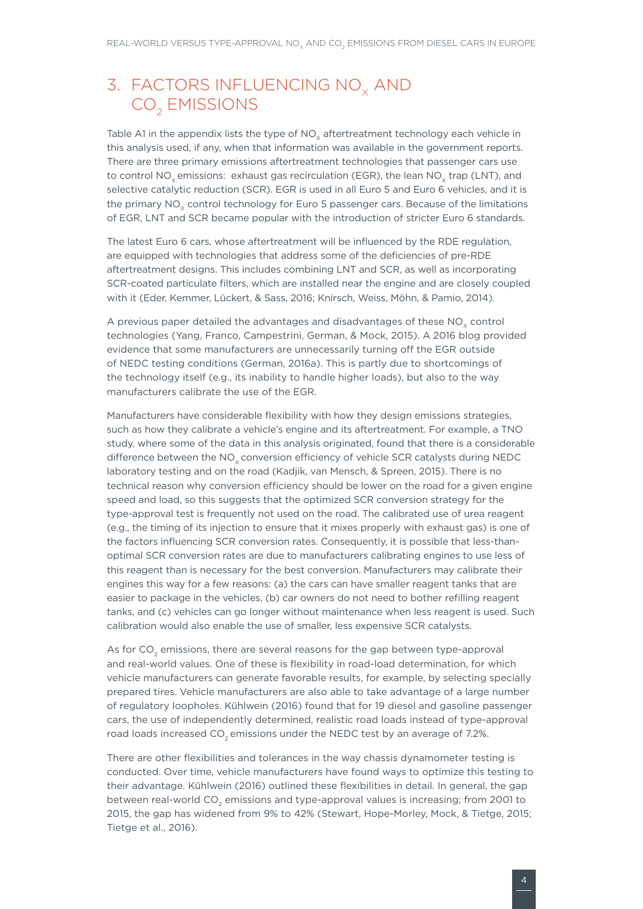# <span id="page-12-0"></span>3. FACTORS INFLUENCING NO<sub>x</sub> AND CO<sub>2</sub> EMISSIONS

Table A1 in the appendix lists the type of  $NO<sub>x</sub>$  aftertreatment technology each vehicle in this analysis used, if any, when that information was available in the government reports. There are three primary emissions aftertreatment technologies that passenger cars use to control NO<sub>v</sub> emissions: exhaust gas recirculation (EGR), the lean NO<sub>v</sub> trap (LNT), and selective catalytic reduction (SCR). EGR is used in all Euro 5 and Euro 6 vehicles, and it is the primary NO<sub>v</sub> control technology for Euro 5 passenger cars. Because of the limitations of EGR, LNT and SCR became popular with the introduction of stricter Euro 6 standards.

The latest Euro 6 cars, whose aftertreatment will be influenced by the RDE regulation, are equipped with technologies that address some of the deficiencies of pre-RDE aftertreatment designs. This includes combining LNT and SCR, as well as incorporating SCR-coated particulate filters, which are installed near the engine and are closely coupled with it (Eder, Kemmer, Lückert, & Sass, 2016; Knirsch, Weiss, Möhn, & Pamio, 2014).

A previous paper detailed the advantages and disadvantages of these  $NO<sub>v</sub>$  control technologies (Yang, Franco, Campestrini, German, & Mock, 2015). A 2016 blog provided evidence that some manufacturers are unnecessarily turning off the EGR outside of NEDC testing conditions (German, 2016a). This is partly due to shortcomings of the technology itself (e.g., its inability to handle higher loads), but also to the way manufacturers calibrate the use of the EGR.

Manufacturers have considerable flexibility with how they design emissions strategies, such as how they calibrate a vehicle's engine and its aftertreatment. For example, a TNO study, where some of the data in this analysis originated, found that there is a considerable difference between the  $NO<sub>x</sub>$  conversion efficiency of vehicle SCR catalysts during NEDC laboratory testing and on the road (Kadjik, van Mensch, & Spreen, 2015). There is no technical reason why conversion efficiency should be lower on the road for a given engine speed and load, so this suggests that the optimized SCR conversion strategy for the type-approval test is frequently not used on the road. The calibrated use of urea reagent (e.g., the timing of its injection to ensure that it mixes properly with exhaust gas) is one of the factors influencing SCR conversion rates. Consequently, it is possible that less-thanoptimal SCR conversion rates are due to manufacturers calibrating engines to use less of this reagent than is necessary for the best conversion. Manufacturers may calibrate their engines this way for a few reasons: (a) the cars can have smaller reagent tanks that are easier to package in the vehicles, (b) car owners do not need to bother refilling reagent tanks, and (c) vehicles can go longer without maintenance when less reagent is used. Such calibration would also enable the use of smaller, less expensive SCR catalysts.

As for CO<sub>2</sub> emissions, there are several reasons for the gap between type-approval and real-world values. One of these is flexibility in road-load determination, for which vehicle manufacturers can generate favorable results, for example, by selecting specially prepared tires. Vehicle manufacturers are also able to take advantage of a large number of regulatory loopholes. Kühlwein (2016) found that for 19 diesel and gasoline passenger cars, the use of independently determined, realistic road loads instead of type-approval road loads increased CO<sub>2</sub> emissions under the NEDC test by an average of 7.2%.

There are other flexibilities and tolerances in the way chassis dynamometer testing is conducted. Over time, vehicle manufacturers have found ways to optimize this testing to their advantage. Kühlwein (2016) outlined these flexibilities in detail. In general, the gap between real-world CO<sub>2</sub> emissions and type-approval values is increasing; from 2001 to 2015, the gap has widened from 9% to 42% (Stewart, Hope-Morley, Mock, & Tietge, 2015; Tietge et al., 2016).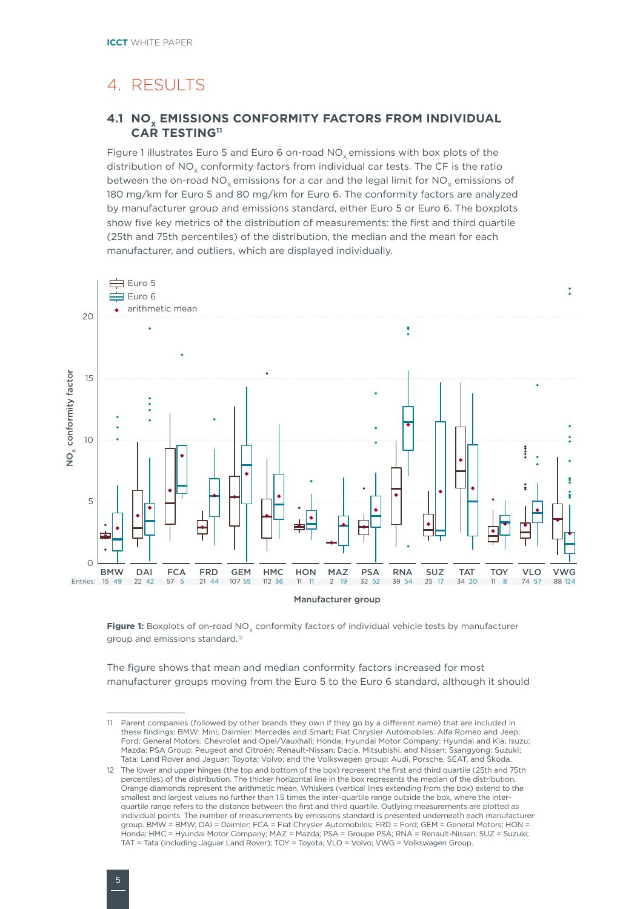# <span id="page-13-0"></span>4. RESULTS

### **4.1 NO<sub>x</sub> EMISSIONS CONFORMITY FACTORS FROM INDIVIDUAL CAR TESTING11**

Figure 1 illustrates Euro 5 and Euro 6 on-road  $NO<sub>x</sub>$  emissions with box plots of the distribution of  $NO<sub>x</sub>$  conformity factors from individual car tests. The CF is the ratio between the on-road NO<sub>v</sub> emissions for a car and the legal limit for NO<sub>v</sub> emissions of 180 mg/km for Euro 5 and 80 mg/km for Euro 6. The conformity factors are analyzed by manufacturer group and emissions standard, either Euro 5 or Euro 6. The boxplots show five key metrics of the distribution of measurements: the first and third quartile (25th and 75th percentiles) of the distribution, the median and the mean for each manufacturer, and outliers, which are displayed individually.



Figure 1: Boxplots of on-road NO<sub>x</sub> conformity factors of individual vehicle tests by manufacturer group and emissions standard.12

The figure shows that mean and median conformity factors increased for most manufacturer groups moving from the Euro 5 to the Euro 6 standard, although it should

<sup>11</sup> Parent companies (followed by other brands they own if they go by a different name) that are included in these findings: BMW: Mini; Daimler: Mercedes and Smart; Fiat Chrysler Automobiles: Alfa Romeo and Jeep; Ford; General Motors: Chevrolet and Opel/Vauxhall; Honda; Hyundai Motor Company: Hyundai and Kia; Isuzu; Mazda; PSA Group: Peugeot and Citroën; Renault-Nissan: Dacia, Mitsubishi, and Nissan; Ssangyong; Suzuki; Tata: Land Rover and Jaguar; Toyota; Volvo; and the Volkswagen group: Audi, Porsche, SEAT, and Škoda.

<sup>12</sup> The lower and upper hinges (the top and bottom of the box) represent the first and third quartile (25th and 75th percentiles) of the distribution. The thicker horizontal line in the box represents the median of the distribution. Orange diamonds represent the arithmetic mean. Whiskers (vertical lines extending from the box) extend to the smallest and largest values no further than 1.5 times the inter-quartile range outside the box, where the interquartile range refers to the distance between the first and third quartile. Outlying measurements are plotted as individual points. The number of measurements by emissions standard is presented underneath each manufacturer group. BMW = BMW; DAI = Daimler; FCA = Fiat Chrysler Automobiles; FRD = Ford; GEM = General Motors; HON = Honda; HMC = Hyundai Motor Company; MAZ = Mazda; PSA = Groupe PSA; RNA = Renault-Nissan; SUZ = Suzuki; TAT = Tata (including Jaguar Land Rover); TOY = Toyota; VLO = Volvo; VWG = Volkswagen Group.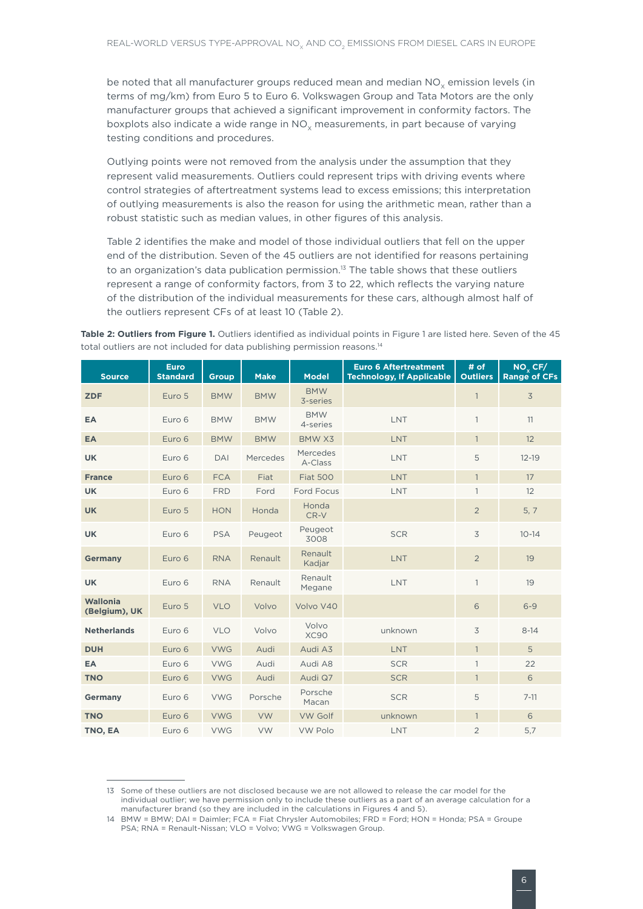be noted that all manufacturer groups reduced mean and median  $NO<sub>x</sub>$  emission levels (in terms of mg/km) from Euro 5 to Euro 6. Volkswagen Group and Tata Motors are the only manufacturer groups that achieved a significant improvement in conformity factors. The boxplots also indicate a wide range in  $NO<sub>v</sub>$  measurements, in part because of varying testing conditions and procedures.

Outlying points were not removed from the analysis under the assumption that they represent valid measurements. Outliers could represent trips with driving events where control strategies of aftertreatment systems lead to excess emissions; this interpretation of outlying measurements is also the reason for using the arithmetic mean, rather than a robust statistic such as median values, in other figures of this analysis.

Table 2 identifies the make and model of those individual outliers that fell on the upper end of the distribution. Seven of the 45 outliers are not identified for reasons pertaining to an organization's data publication permission.<sup>13</sup> The table shows that these outliers represent a range of conformity factors, from 3 to 22, which reflects the varying nature of the distribution of the individual measurements for these cars, although almost half of the outliers represent CFs of at least 10 (Table 2).

**Table 2: Outliers from Figure 1.** Outliers identified as individual points in Figure 1 are listed here. Seven of the 45 total outliers are not included for data publishing permission reasons.<sup>14</sup>

| <b>Source</b>             | <b>Euro</b><br><b>Standard</b> | <b>Group</b> | <b>Make</b> | <b>Model</b>           | <b>Euro 6 Aftertreatment</b><br><b>Technology, If Applicable</b> | # of<br><b>Outliers</b> | $NO_{x}$ CF/<br><b>Range of CFs</b> |
|---------------------------|--------------------------------|--------------|-------------|------------------------|------------------------------------------------------------------|-------------------------|-------------------------------------|
| <b>ZDF</b>                | Euro 5                         | <b>BMW</b>   | <b>BMW</b>  | <b>BMW</b><br>3-series |                                                                  | $\mathbf{1}$            | 3                                   |
| EA                        | Euro 6                         | <b>BMW</b>   | <b>BMW</b>  | <b>BMW</b><br>4-series | LNT                                                              | $\mathbf{1}$            | 11                                  |
| <b>EA</b>                 | Euro 6                         | <b>BMW</b>   | <b>BMW</b>  | BMW X3                 | LNT                                                              | $\mathbf{1}$            | 12                                  |
| <b>UK</b>                 | Euro 6                         | <b>DAI</b>   | Mercedes    | Mercedes<br>A-Class    | LNT                                                              | 5                       | $12 - 19$                           |
| <b>France</b>             | Euro 6                         | <b>FCA</b>   | Fiat        | <b>Fiat 500</b>        | <b>LNT</b>                                                       | $\mathbf{1}$            | 17                                  |
| <b>UK</b>                 | Euro 6                         | <b>FRD</b>   | Ford        | <b>Ford Focus</b>      | LNT                                                              | $\mathbf{1}$            | 12                                  |
| <b>UK</b>                 | Euro 5                         | <b>HON</b>   | Honda       | Honda<br>CR-V          |                                                                  | $\overline{2}$          | 5, 7                                |
| <b>UK</b>                 | Euro 6                         | <b>PSA</b>   | Peugeot     | Peugeot<br>3008        | <b>SCR</b>                                                       | 3                       | $10 - 14$                           |
| <b>Germany</b>            | Euro 6                         | <b>RNA</b>   | Renault     | Renault<br>Kadjar      | <b>LNT</b>                                                       | $\overline{2}$          | 19                                  |
| <b>UK</b>                 | Euro 6                         | <b>RNA</b>   | Renault     | Renault<br>Megane      | LNT                                                              | $\mathbf{1}$            | 19                                  |
| Wallonia<br>(Belgium), UK | Euro 5                         | <b>VLO</b>   | Volvo       | Volvo V40              |                                                                  | 6                       | $6 - 9$                             |
| <b>Netherlands</b>        | Euro 6                         | <b>VLO</b>   | Volvo       | Volvo<br><b>XC90</b>   | unknown                                                          | 3                       | $8 - 14$                            |
| <b>DUH</b>                | Euro 6                         | <b>VWG</b>   | Audi        | Audi A3                | LNT                                                              | $\mathbf{1}$            | 5                                   |
| EA                        | Euro 6                         | <b>VWG</b>   | Audi        | Audi A8                | <b>SCR</b>                                                       | $\mathbf{1}$            | 22                                  |
| <b>TNO</b>                | Euro 6                         | <b>VWG</b>   | Audi        | Audi Q7                | <b>SCR</b>                                                       | $\mathbf{1}$            | 6                                   |
| Germany                   | Euro 6                         | <b>VWG</b>   | Porsche     | Porsche<br>Macan       | <b>SCR</b>                                                       | 5                       | $7 - 11$                            |
| <b>TNO</b>                | Euro 6                         | <b>VWG</b>   | <b>VW</b>   | <b>VW Golf</b>         | unknown                                                          | $\mathbf{1}$            | 6                                   |
| TNO, EA                   | Euro 6                         | <b>VWG</b>   | VW          | <b>VW Polo</b>         | LNT                                                              | $\overline{2}$          | 5,7                                 |

<sup>13</sup> Some of these outliers are not disclosed because we are not allowed to release the car model for the individual outlier; we have permission only to include these outliers as a part of an average calculation for a manufacturer brand (so they are included in the calculations in Figures 4 and 5).

<sup>14</sup> BMW = BMW; DAI = Daimler; FCA = Fiat Chrysler Automobiles; FRD = Ford; HON = Honda; PSA = Groupe PSA; RNA = Renault-Nissan; VLO = Volvo; VWG = Volkswagen Group.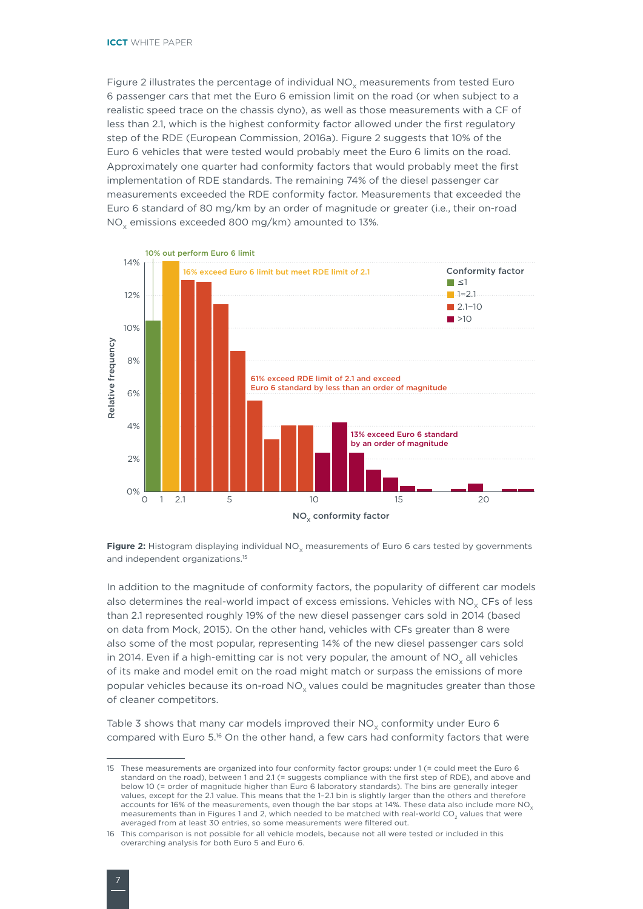Figure 2 illustrates the percentage of individual  $NO<sub>x</sub>$  measurements from tested Euro 6 passenger cars that met the Euro 6 emission limit on the road (or when subject to a realistic speed trace on the chassis dyno), as well as those measurements with a CF of less than 2.1, which is the highest conformity factor allowed under the first regulatory step of the RDE (European Commission, 2016a). Figure 2 suggests that 10% of the Euro 6 vehicles that were tested would probably meet the Euro 6 limits on the road. Approximately one quarter had conformity factors that would probably meet the first implementation of RDE standards. The remaining 74% of the diesel passenger car measurements exceeded the RDE conformity factor. Measurements that exceeded the Euro 6 standard of 80 mg/km by an order of magnitude or greater (i.e., their on-road NO<sub>v</sub> emissions exceeded 800 mg/km) amounted to 13%.



Figure 2: Histogram displaying individual NO<sub>y</sub> measurements of Euro 6 cars tested by governments and independent organizations.<sup>15</sup>

In addition to the magnitude of conformity factors, the popularity of different car models also determines the real-world impact of excess emissions. Vehicles with NO<sub>V</sub> CFs of less than 2.1 represented roughly 19% of the new diesel passenger cars sold in 2014 (based on data from Mock, 2015). On the other hand, vehicles with CFs greater than 8 were also some of the most popular, representing 14% of the new diesel passenger cars sold in 2014. Even if a high-emitting car is not very popular, the amount of  $NO<sub>y</sub>$  all vehicles of its make and model emit on the road might match or surpass the emissions of more popular vehicles because its on-road  $NO<sub>x</sub>$  values could be magnitudes greater than those of cleaner competitors.

Table 3 shows that many car models improved their  $NO<sub>v</sub>$  conformity under Euro 6 compared with Euro 5.16 On the other hand, a few cars had conformity factors that were

<sup>15</sup> These measurements are organized into four conformity factor groups: under 1 (= could meet the Euro 6 standard on the road), between 1 and 2.1 (= suggests compliance with the first step of RDE), and above and below 10 (= order of magnitude higher than Euro 6 laboratory standards). The bins are generally integer values, except for the 2.1 value. This means that the 1–2.1 bin is slightly larger than the others and therefore accounts for 16% of the measurements, even though the bar stops at 14%. These data also include more NO<sub>y</sub> measurements than in Figures 1 and 2, which needed to be matched with real-world CO<sub>2</sub> values that were averaged from at least 30 entries, so some measurements were filtered out.

<sup>16</sup> This comparison is not possible for all vehicle models, because not all were tested or included in this overarching analysis for both Euro 5 and Euro 6.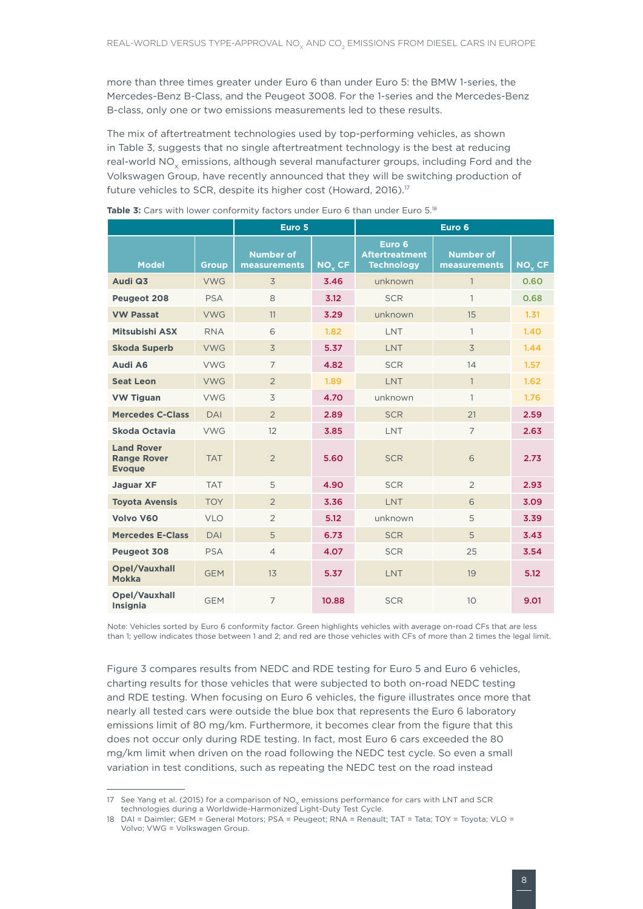more than three times greater under Euro 6 than under Euro 5: the BMW 1-series, the Mercedes-Benz B-Class, and the Peugeot 3008. For the 1-series and the Mercedes-Benz B-class, only one or two emissions measurements led to these results.

The mix of aftertreatment technologies used by top-performing vehicles, as shown in Table 3, suggests that no single aftertreatment technology is the best at reducing real-world NO<sub>v</sub> emissions, although several manufacturer groups, including Ford and the Volkswagen Group, have recently announced that they will be switching production of future vehicles to SCR, despite its higher cost (Howard, 2016).17

|                                                          |                         | Euro 5                           |                    | Euro 6                                               |                                  |                    |  |  |
|----------------------------------------------------------|-------------------------|----------------------------------|--------------------|------------------------------------------------------|----------------------------------|--------------------|--|--|
| <b>Model</b>                                             | <b>Group</b>            | <b>Number of</b><br>measurements | NO <sub>v</sub> CF | Euro 6<br><b>Aftertreatment</b><br><b>Technology</b> | <b>Number of</b><br>measurements | NO <sub>v</sub> CF |  |  |
| Audi Q3                                                  | <b>VWG</b>              | 3                                | 3.46               | unknown                                              | $\mathbf{1}$                     | 0.60               |  |  |
| Peugeot 208                                              | <b>PSA</b>              | 8                                | 3.12               | <b>SCR</b>                                           | $\mathbf{1}$                     | 0.68               |  |  |
| <b>VW Passat</b>                                         | <b>VWG</b>              | 11                               | 3.29               | unknown                                              | 15                               | 1.31               |  |  |
| Mitsubishi ASX                                           | <b>RNA</b>              | 6                                | 1.82               | LNT                                                  | $\mathbf{1}$                     | 1.40               |  |  |
| <b>Skoda Superb</b>                                      | <b>VWG</b>              | 3                                | 5.37               | <b>LNT</b>                                           | $\overline{3}$                   | 1.44               |  |  |
| Audi A6                                                  | <b>VWG</b>              | $\overline{7}$                   | 4.82               | <b>SCR</b>                                           | 14                               | 1.57               |  |  |
| <b>Seat Leon</b>                                         | <b>VWG</b>              | $\overline{2}$                   | 1.89               | <b>LNT</b>                                           | $\mathbf{1}$                     | 1.62               |  |  |
| <b>VW Tiguan</b>                                         | <b>VWG</b><br>3<br>4.70 |                                  |                    | unknown                                              | $\mathbf{1}$                     | 1.76               |  |  |
| <b>Mercedes C-Class</b>                                  | DAI                     | $\overline{2}$                   | 2.89               | <b>SCR</b>                                           | 21                               | 2.59               |  |  |
| Skoda Octavia                                            | <b>VWG</b>              | 12                               | 3.85               | <b>LNT</b>                                           | $\overline{7}$                   | 2.63               |  |  |
| <b>Land Rover</b><br><b>Range Rover</b><br><b>Evoque</b> | <b>TAT</b>              | $\overline{2}$                   | 5.60               | <b>SCR</b>                                           | 6                                | 2.73               |  |  |
| <b>Jaguar XF</b>                                         | <b>TAT</b>              | 5                                | 4.90               | <b>SCR</b>                                           | $\overline{2}$                   | 2.93               |  |  |
| <b>Toyota Avensis</b>                                    | <b>TOY</b>              | $\overline{2}$                   | 3.36               | LNT                                                  | 6                                | 3.09               |  |  |
| Volvo V60                                                | <b>VLO</b>              | $\overline{2}$                   | 5.12               | unknown                                              | 5                                | 3.39               |  |  |
| <b>Mercedes E-Class</b>                                  | <b>DAI</b>              | 5                                | 6.73               | <b>SCR</b>                                           | 5                                | 3.43               |  |  |
| Peugeot 308                                              | <b>PSA</b>              | $\overline{4}$                   | 4.07               | <b>SCR</b>                                           | 25                               | 3.54               |  |  |
| <b>Opel/Vauxhall</b><br><b>Mokka</b>                     | <b>GEM</b>              | 13                               | 5.37               | <b>LNT</b>                                           | 19                               | 5.12               |  |  |
| Opel/Vauxhall<br>Insignia                                | <b>GEM</b>              | $\overline{7}$                   | 10.88              | <b>SCR</b>                                           | 10                               | 9.01               |  |  |

Table 3: Cars with lower conformity factors under Euro 6 than under Euro 5.<sup>18</sup>

Note: Vehicles sorted by Euro 6 conformity factor. Green highlights vehicles with average on-road CFs that are less than 1; yellow indicates those between 1 and 2; and red are those vehicles with CFs of more than 2 times the legal limit.

Figure 3 compares results from NEDC and RDE testing for Euro 5 and Euro 6 vehicles, charting results for those vehicles that were subjected to both on-road NEDC testing and RDE testing. When focusing on Euro 6 vehicles, the figure illustrates once more that nearly all tested cars were outside the blue box that represents the Euro 6 laboratory emissions limit of 80 mg/km. Furthermore, it becomes clear from the figure that this does not occur only during RDE testing. In fact, most Euro 6 cars exceeded the 80 mg/km limit when driven on the road following the NEDC test cycle. So even a small variation in test conditions, such as repeating the NEDC test on the road instead

<sup>17</sup> See Yang et al. (2015) for a comparison of NO<sub>v</sub> emissions performance for cars with LNT and SCR technologies during a Worldwide-Harmonized Light-Duty Test Cycle.

<sup>18</sup> DAI = Daimler; GEM = General Motors; PSA = Peugeot; RNA = Renault; TAT = Tata; TOY = Toyota; VLO = Volvo; VWG = Volkswagen Group.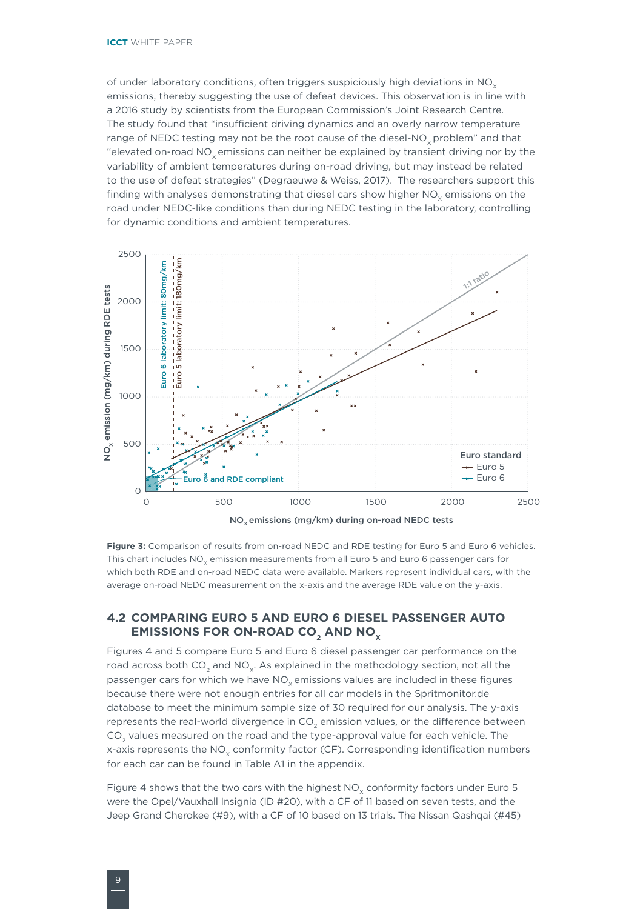<span id="page-17-0"></span>of under laboratory conditions, often triggers suspiciously high deviations in  $NO<sub>x</sub>$ emissions, thereby suggesting the use of defeat devices. This observation is in line with a 2016 study by scientists from the European Commission's Joint Research Centre. The study found that "insufficient driving dynamics and an overly narrow temperature range of NEDC testing may not be the root cause of the diesel-NO<sub>v</sub> problem" and that "elevated on-road  $NO<sub>x</sub>$  emissions can neither be explained by transient driving nor by the variability of ambient temperatures during on-road driving, but may instead be related to the use of defeat strategies" (Degraeuwe & Weiss, 2017). The researchers support this finding with analyses demonstrating that diesel cars show higher  $NO<sub>x</sub>$  emissions on the road under NEDC-like conditions than during NEDC testing in the laboratory, controlling for dynamic conditions and ambient temperatures.



**Figure 3:** Comparison of results from on-road NEDC and RDE testing for Euro 5 and Euro 6 vehicles. This chart includes  $NO<sub>x</sub>$  emission measurements from all Euro 5 and Euro 6 passenger cars for which both RDE and on-road NEDC data were available. Markers represent individual cars, with the average on-road NEDC measurement on the x-axis and the average RDE value on the y-axis.

### **4.2 COMPARING EURO 5 AND EURO 6 DIESEL PASSENGER AUTO EMISSIONS FOR ON-ROAD CO<sub>2</sub> AND NO<sub>x</sub>**

Figures 4 and 5 compare Euro 5 and Euro 6 diesel passenger car performance on the road across both CO<sub>2</sub> and NO<sub>y</sub>. As explained in the methodology section, not all the passenger cars for which we have NO<sub>v</sub> emissions values are included in these figures because there were not enough entries for all car models in the Spritmonitor.de database to meet the minimum sample size of 30 required for our analysis. The y-axis represents the real-world divergence in CO<sub>2</sub> emission values, or the difference between CO<sub>2</sub> values measured on the road and the type-approval value for each vehicle. The x-axis represents the NO<sub>y</sub> conformity factor (CF). Corresponding identification numbers for each car can be found in Table A1 in the appendix.

Figure 4 shows that the two cars with the highest  $NO<sub>x</sub>$  conformity factors under Euro 5 were the Opel/Vauxhall Insignia (ID #20), with a CF of 11 based on seven tests, and the Jeep Grand Cherokee (#9), with a CF of 10 based on 13 trials. The Nissan Qashqai (#45)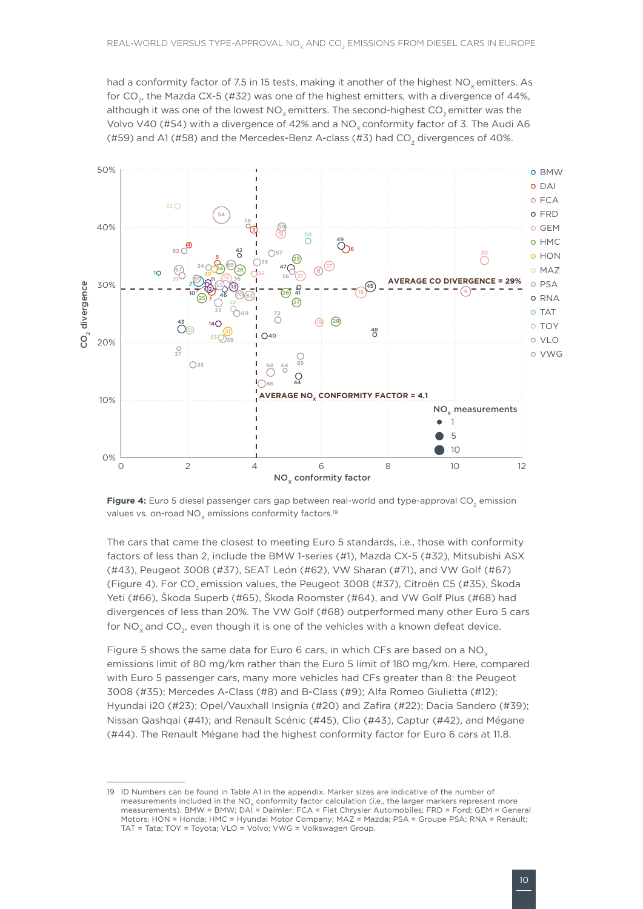had a conformity factor of 7.5 in 15 tests, making it another of the highest  $NO<sub>v</sub>$  emitters. As for CO<sub>2</sub>, the Mazda CX-5 (#32) was one of the highest emitters, with a divergence of 44%, although it was one of the lowest  $NO<sub>x</sub>$  emitters. The second-highest  $CO<sub>z</sub>$  emitter was the Volvo V40 (#54) with a divergence of 42% and a  $NO<sub>y</sub>$  conformity factor of 3. The Audi A6 (#59) and A1 (#58) and the Mercedes-Benz A-class (#3) had CO<sub>2</sub> divergences of 40%.



**Figure 4:** Euro 5 diesel passenger cars gap between real-world and type-approval CO<sub>2</sub> emission values vs. on-road  $NO<sub>x</sub>$  emissions conformity factors.<sup>19</sup>

The cars that came the closest to meeting Euro 5 standards, i.e., those with conformity factors of less than 2, include the BMW 1-series (#1), Mazda CX-5 (#32), Mitsubishi ASX (#43), Peugeot 3008 (#37), SEAT León (#62), VW Sharan (#71), and VW Golf (#67) (Figure 4). For CO<sub>2</sub> emission values, the Peugeot 3008 (#37), Citroën C5 (#35), Škoda Yeti (#66), Škoda Superb (#65), Škoda Roomster (#64), and VW Golf Plus (#68) had divergences of less than 20%. The VW Golf (#68) outperformed many other Euro 5 cars for NO<sub>x</sub> and CO<sub>2</sub>, even though it is one of the vehicles with a known defeat device.

Figure 5 shows the same data for Euro 6 cars, in which CFs are based on a NO<sub> $\checkmark$ </sub> emissions limit of 80 mg/km rather than the Euro 5 limit of 180 mg/km. Here, compared with Euro 5 passenger cars, many more vehicles had CFs greater than 8: the Peugeot 3008 (#35); Mercedes A-Class (#8) and B-Class (#9); Alfa Romeo Giulietta (#12); Hyundai i20 (#23); Opel/Vauxhall Insignia (#20) and Zafira (#22); Dacia Sandero (#39); Nissan Qashqai (#41); and Renault Scénic (#45), Clio (#43), Captur (#42), and Mégane (#44). The Renault Mégane had the highest conformity factor for Euro 6 cars at 11.8.

<sup>19</sup> ID Numbers can be found in Table A1 in the appendix. Marker sizes are indicative of the number of measurements included in the  $NO<sub>x</sub>$  conformity factor calculation (i.e., the larger markers represent more measurements). BMW = BMW; DAI = Daimler; FCA = Fiat Chrysler Automobiles; FRD = Ford; GEM = General Motors; HON = Honda; HMC = Hyundai Motor Company; MAZ = Mazda; PSA = Groupe PSA; RNA = Renault; TAT = Tata; TOY = Toyota; VLO = Volvo; VWG = Volkswagen Group.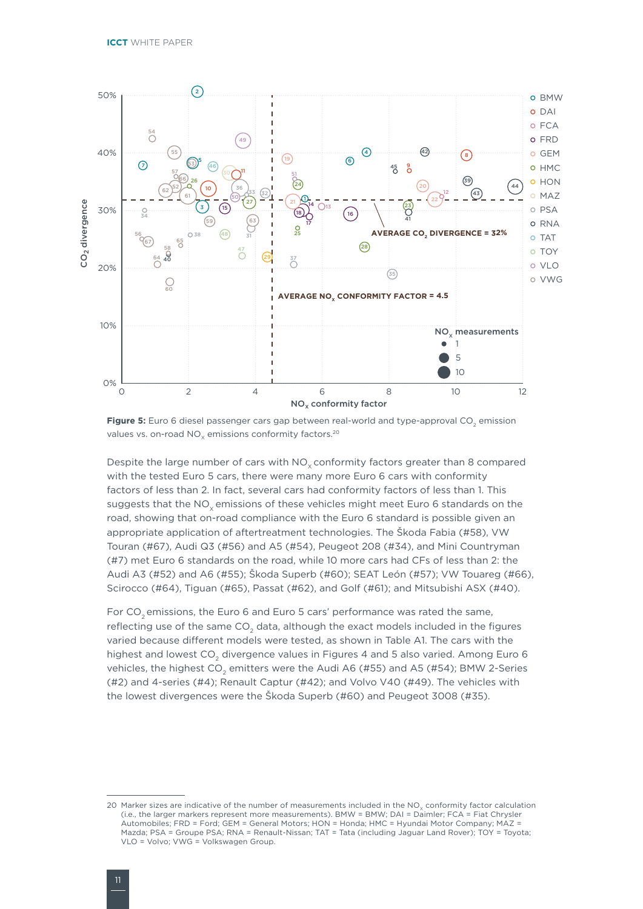

**Figure 5:** Euro 6 diesel passenger cars gap between real-world and type-approval CO<sub>2</sub> emission values vs. on-road NO<sub>v</sub> emissions conformity factors.<sup>20</sup>

Despite the large number of cars with  $NO<sub>v</sub>$  conformity factors greater than 8 compared with the tested Euro 5 cars, there were many more Euro 6 cars with conformity factors of less than 2. In fact, several cars had conformity factors of less than 1. This suggests that the NO<sub>v</sub> emissions of these vehicles might meet Euro 6 standards on the road, showing that on-road compliance with the Euro 6 standard is possible given an appropriate application of aftertreatment technologies. The Škoda Fabia (#58), VW Touran (#67), Audi Q3 (#56) and A5 (#54), Peugeot 208 (#34), and Mini Countryman (#7) met Euro 6 standards on the road, while 10 more cars had CFs of less than 2: the Audi A3 (#52) and A6 (#55); Škoda Superb (#60); SEAT León (#57); VW Touareg (#66), Scirocco (#64), Tiguan (#65), Passat (#62), and Golf (#61); and Mitsubishi ASX (#40).

For  $CO<sub>2</sub>$  emissions, the Euro 6 and Euro 5 cars' performance was rated the same, reflecting use of the same CO<sub>2</sub> data, although the exact models included in the figures varied because different models were tested, as shown in Table A1. The cars with the highest and lowest CO<sub>2</sub> divergence values in Figures 4 and 5 also varied. Among Euro 6 vehicles, the highest CO<sub>2</sub> emitters were the Audi A6 (#55) and A5 (#54); BMW 2-Series (#2) and 4-series (#4); Renault Captur (#42); and Volvo V40 (#49). The vehicles with the lowest divergences were the Škoda Superb (#60) and Peugeot 3008 (#35).

<sup>20</sup> Marker sizes are indicative of the number of measurements included in the  $NO<sub>x</sub>$  conformity factor calculation (i.e., the larger markers represent more measurements). BMW = BMW; DAI = Daimler; FCA = Fiat Chrysler Automobiles; FRD = Ford; GEM = General Motors; HON = Honda; HMC = Hyundai Motor Company; MAZ = Mazda; PSA = Groupe PSA; RNA = Renault-Nissan; TAT = Tata (including Jaguar Land Rover); TOY = Toyota; VLO = Volvo; VWG = Volkswagen Group.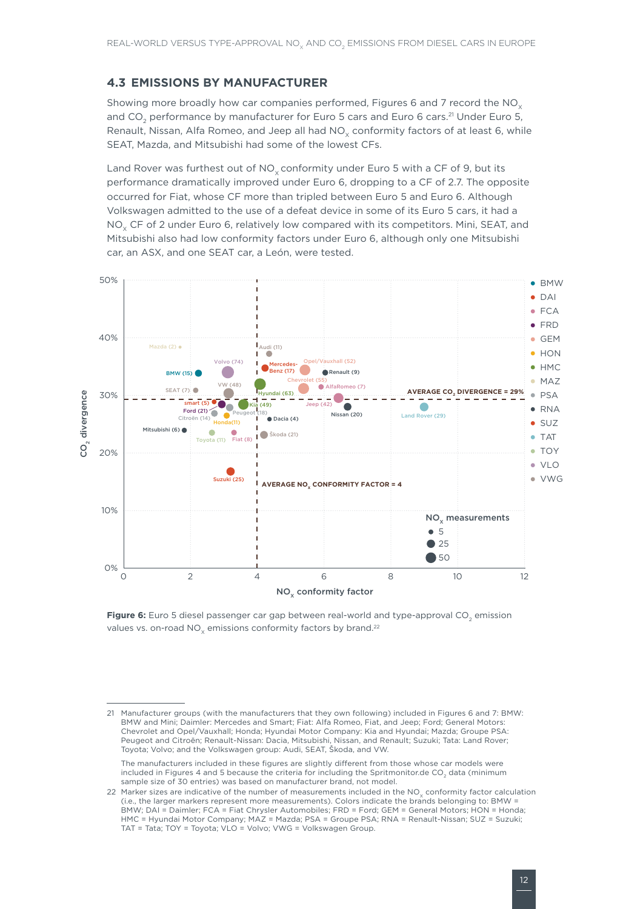### <span id="page-20-0"></span>**4.3 EMISSIONS BY MANUFACTURER**

Showing more broadly how car companies performed, Figures 6 and 7 record the  $NO<sub>x</sub>$ and CO<sub>2</sub> performance by manufacturer for Euro 5 cars and Euro 6 cars.<sup>21</sup> Under Euro 5, Renault, Nissan, Alfa Romeo, and Jeep all had  $NO<sub>x</sub>$  conformity factors of at least 6, while SEAT, Mazda, and Mitsubishi had some of the lowest CFs.

Land Rover was furthest out of  $NO<sub>x</sub>$  conformity under Euro 5 with a CF of 9, but its performance dramatically improved under Euro 6, dropping to a CF of 2.7. The opposite occurred for Fiat, whose CF more than tripled between Euro 5 and Euro 6. Although Volkswagen admitted to the use of a defeat device in some of its Euro 5 cars, it had a NO<sub>y</sub> CF of 2 under Euro 6, relatively low compared with its competitors. Mini, SEAT, and Mitsubishi also had low conformity factors under Euro 6, although only one Mitsubishi car, an ASX, and one SEAT car, a León, were tested.



Figure 6: Euro 5 diesel passenger car gap between real-world and type-approval CO<sub>2</sub> emission values vs. on-road  $NO<sub>v</sub>$  emissions conformity factors by brand.<sup>22</sup>

<sup>21</sup> Manufacturer groups (with the manufacturers that they own following) included in Figures 6 and 7: BMW: BMW and Mini; Daimler: Mercedes and Smart; Fiat: Alfa Romeo, Fiat, and Jeep; Ford; General Motors: Chevrolet and Opel/Vauxhall; Honda; Hyundai Motor Company: Kia and Hyundai; Mazda; Groupe PSA: Peugeot and Citroën; Renault-Nissan: Dacia, Mitsubishi, Nissan, and Renault; Suzuki; Tata: Land Rover; Toyota; Volvo; and the Volkswagen group: Audi, SEAT, Škoda, and VW.

The manufacturers included in these figures are slightly different from those whose car models were included in Figures 4 and 5 because the criteria for including the Spritmonitor.de CO<sub>2</sub> data (minimum sample size of 30 entries) was based on manufacturer brand, not model.

<sup>22</sup> Marker sizes are indicative of the number of measurements included in the  $NO_x$  conformity factor calculation (i.e., the larger markers represent more measurements). Colors indicate the brands belonging to: BMW = BMW; DAI = Daimler; FCA = Fiat Chrysler Automobiles; FRD = Ford; GEM = General Motors; HON = Honda; HMC = Hyundai Motor Company; MAZ = Mazda; PSA = Groupe PSA; RNA = Renault-Nissan; SUZ = Suzuki; TAT = Tata; TOY = Toyota; VLO = Volvo; VWG = Volkswagen Group.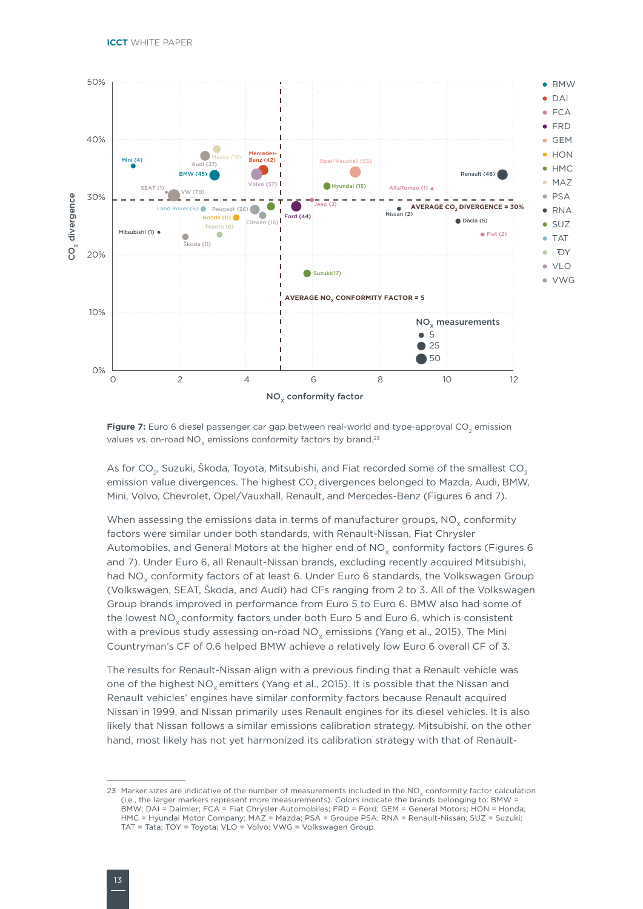

Figure 7: Euro 6 diesel passenger car gap between real-world and type-approval CO<sub>2</sub> emission values vs. on-road  $NO<sub>x</sub>$  emissions conformity factors by brand.<sup>23</sup>

As for CO<sub>2</sub>, Suzuki, Škoda, Toyota, Mitsubishi, and Fiat recorded some of the smallest CO<sub>2</sub> emission value divergences. The highest CO<sub>2</sub> divergences belonged to Mazda, Audi, BMW, Mini, Volvo, Chevrolet, Opel/Vauxhall, Renault, and Mercedes-Benz (Figures 6 and 7).

When assessing the emissions data in terms of manufacturer groups,  $NO<sub>x</sub>$  conformity factors were similar under both standards, with Renault-Nissan, Fiat Chrysler Automobiles, and General Motors at the higher end of  $NO<sub>v</sub>$  conformity factors (Figures 6 and 7). Under Euro 6, all Renault-Nissan brands, excluding recently acquired Mitsubishi, had NO<sub>y</sub> conformity factors of at least 6. Under Euro 6 standards, the Volkswagen Group (Volkswagen, SEAT, Škoda, and Audi) had CFs ranging from 2 to 3. All of the Volkswagen Group brands improved in performance from Euro 5 to Euro 6. BMW also had some of the lowest NO<sub>y</sub> conformity factors under both Euro 5 and Euro 6, which is consistent with a previous study assessing on-road NO<sub>v</sub> emissions (Yang et al., 2015). The Mini Countryman's CF of 0.6 helped BMW achieve a relatively low Euro 6 overall CF of 3.

The results for Renault-Nissan align with a previous finding that a Renault vehicle was one of the highest NO<sub>v</sub> emitters (Yang et al., 2015). It is possible that the Nissan and Renault vehicles' engines have similar conformity factors because Renault acquired Nissan in 1999, and Nissan primarily uses Renault engines for its diesel vehicles. It is also likely that Nissan follows a similar emissions calibration strategy. Mitsubishi, on the other hand, most likely has not yet harmonized its calibration strategy with that of Renault-

<sup>23</sup> Marker sizes are indicative of the number of measurements included in the NO<sub>y</sub> conformity factor calculation (i.e., the larger markers represent more measurements). Colors indicate the brands belonging to: BMW = BMW; DAI = Daimler; FCA = Fiat Chrysler Automobiles; FRD = Ford; GEM = General Motors; HON = Honda; HMC = Hyundai Motor Company; MAZ = Mazda; PSA = Groupe PSA; RNA = Renault-Nissan; SUZ = Suzuki; TAT = Tata; TOY = Toyota; VLO = Volvo; VWG = Volkswagen Group.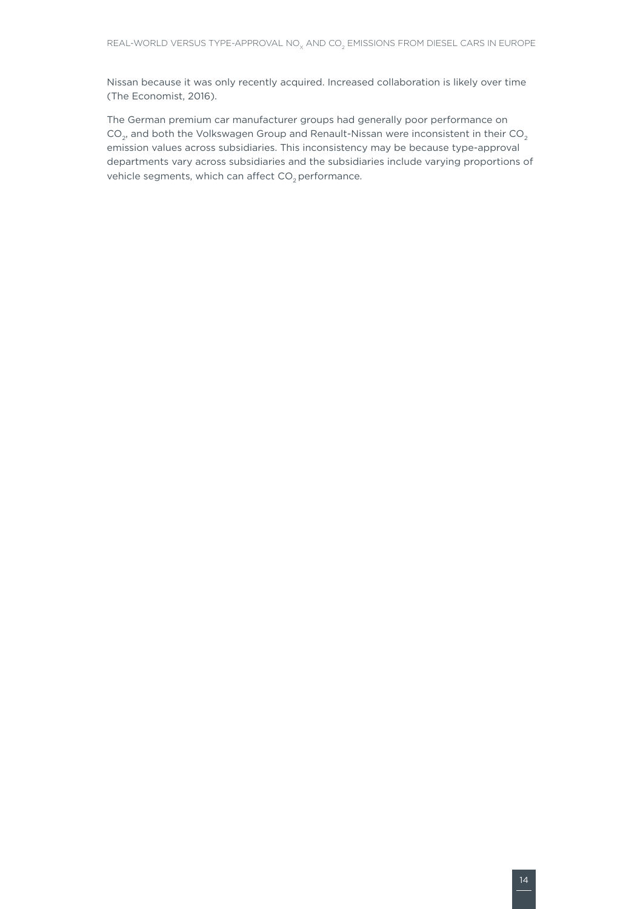Nissan because it was only recently acquired. Increased collaboration is likely over time (The Economist, 2016).

The German premium car manufacturer groups had generally poor performance on  $CO<sub>2</sub>$ , and both the Volkswagen Group and Renault-Nissan were inconsistent in their  $CO<sub>2</sub>$ emission values across subsidiaries. This inconsistency may be because type-approval departments vary across subsidiaries and the subsidiaries include varying proportions of vehicle segments, which can affect  $CO<sub>2</sub>$  performance.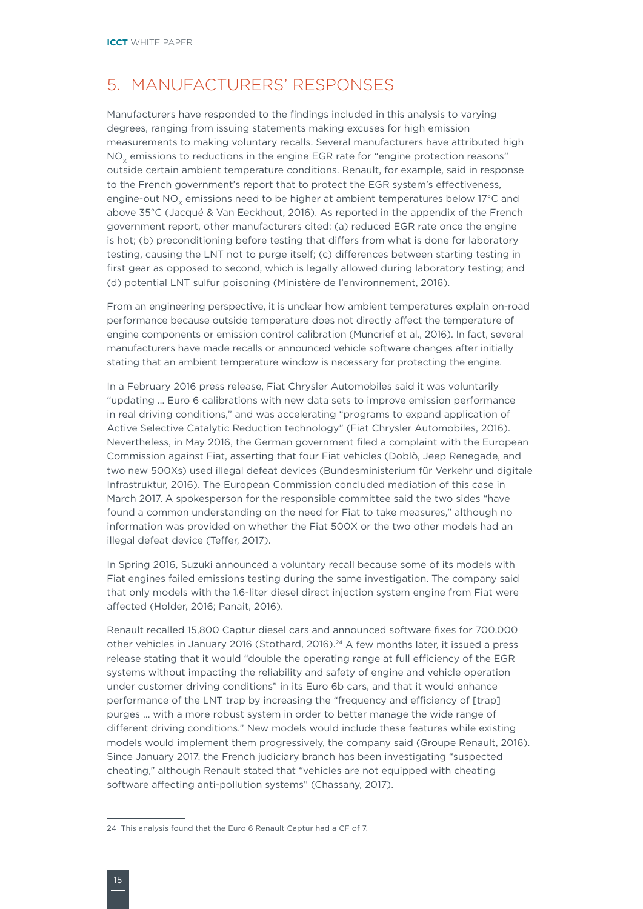### <span id="page-23-0"></span>5. MANUFACTURERS' RESPONSES

Manufacturers have responded to the findings included in this analysis to varying degrees, ranging from issuing statements making excuses for high emission measurements to making voluntary recalls. Several manufacturers have attributed high NO<sub>v</sub> emissions to reductions in the engine EGR rate for "engine protection reasons" outside certain ambient temperature conditions. Renault, for example, said in response to the French government's report that to protect the EGR system's effectiveness, engine-out NO<sub>v</sub> emissions need to be higher at ambient temperatures below 17°C and above 35°C (Jacqué & Van Eeckhout, 2016). As reported in the appendix of the French government report, other manufacturers cited: (a) reduced EGR rate once the engine is hot; (b) preconditioning before testing that differs from what is done for laboratory testing, causing the LNT not to purge itself; (c) differences between starting testing in first gear as opposed to second, which is legally allowed during laboratory testing; and (d) potential LNT sulfur poisoning (Ministère de l'environnement, 2016).

From an engineering perspective, it is unclear how ambient temperatures explain on-road performance because outside temperature does not directly affect the temperature of engine components or emission control calibration (Muncrief et al., 2016). In fact, several manufacturers have made recalls or announced vehicle software changes after initially stating that an ambient temperature window is necessary for protecting the engine.

In a February 2016 press release, Fiat Chrysler Automobiles said it was voluntarily "updating … Euro 6 calibrations with new data sets to improve emission performance in real driving conditions," and was accelerating "programs to expand application of Active Selective Catalytic Reduction technology" (Fiat Chrysler Automobiles, 2016). Nevertheless, in May 2016, the German government filed a complaint with the European Commission against Fiat, asserting that four Fiat vehicles (Doblò, Jeep Renegade, and two new 500Xs) used illegal defeat devices (Bundesministerium für Verkehr und digitale Infrastruktur, 2016). The European Commission concluded mediation of this case in March 2017. A spokesperson for the responsible committee said the two sides "have found a common understanding on the need for Fiat to take measures," although no information was provided on whether the Fiat 500X or the two other models had an illegal defeat device (Teffer, 2017).

In Spring 2016, Suzuki announced a voluntary recall because some of its models with Fiat engines failed emissions testing during the same investigation. The company said that only models with the 1.6-liter diesel direct injection system engine from Fiat were affected (Holder, 2016; Panait, 2016).

Renault recalled 15,800 Captur diesel cars and announced software fixes for 700,000 other vehicles in January 2016 (Stothard, 2016).24 A few months later, it issued a press release stating that it would "double the operating range at full efficiency of the EGR systems without impacting the reliability and safety of engine and vehicle operation under customer driving conditions" in its Euro 6b cars, and that it would enhance performance of the LNT trap by increasing the "frequency and efficiency of [trap] purges … with a more robust system in order to better manage the wide range of different driving conditions." New models would include these features while existing models would implement them progressively, the company said (Groupe Renault, 2016). Since January 2017, the French judiciary branch has been investigating "suspected cheating," although Renault stated that "vehicles are not equipped with cheating software affecting anti-pollution systems" (Chassany, 2017).

<sup>24</sup> This analysis found that the Euro 6 Renault Captur had a CF of 7.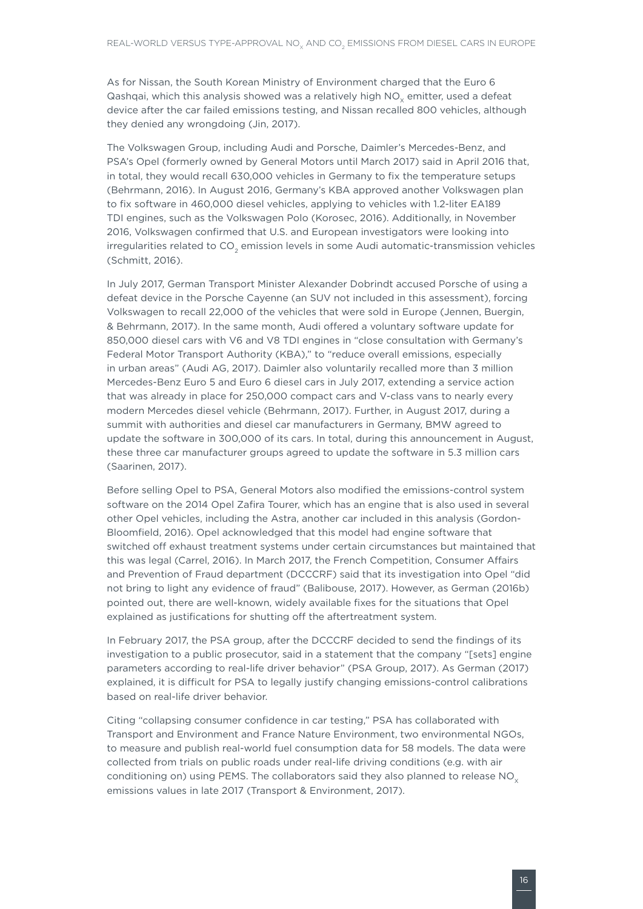As for Nissan, the South Korean Ministry of Environment charged that the Euro 6 Qashqai, which this analysis showed was a relatively high  $NO<sub>x</sub>$  emitter, used a defeat device after the car failed emissions testing, and Nissan recalled 800 vehicles, although they denied any wrongdoing (Jin, 2017).

The Volkswagen Group, including Audi and Porsche, Daimler's Mercedes-Benz, and PSA's Opel (formerly owned by General Motors until March 2017) said in April 2016 that, in total, they would recall 630,000 vehicles in Germany to fix the temperature setups (Behrmann, 2016). In August 2016, Germany's KBA approved another Volkswagen plan to fix software in 460,000 diesel vehicles, applying to vehicles with 1.2-liter EA189 TDI engines, such as the Volkswagen Polo (Korosec, 2016). Additionally, in November 2016, Volkswagen confirmed that U.S. and European investigators were looking into irregularities related to CO<sub>2</sub> emission levels in some Audi automatic-transmission vehicles (Schmitt, 2016).

In July 2017, German Transport Minister Alexander Dobrindt accused Porsche of using a defeat device in the Porsche Cayenne (an SUV not included in this assessment), forcing Volkswagen to recall 22,000 of the vehicles that were sold in Europe (Jennen, Buergin, & Behrmann, 2017). In the same month, Audi offered a voluntary software update for 850,000 diesel cars with V6 and V8 TDI engines in "close consultation with Germany's Federal Motor Transport Authority (KBA)," to "reduce overall emissions, especially in urban areas" (Audi AG, 2017). Daimler also voluntarily recalled more than 3 million Mercedes-Benz Euro 5 and Euro 6 diesel cars in July 2017, extending a service action that was already in place for 250,000 compact cars and V-class vans to nearly every modern Mercedes diesel vehicle (Behrmann, 2017). Further, in August 2017, during a summit with authorities and diesel car manufacturers in Germany, BMW agreed to update the software in 300,000 of its cars. In total, during this announcement in August, these three car manufacturer groups agreed to update the software in 5.3 million cars (Saarinen, 2017).

Before selling Opel to PSA, General Motors also modified the emissions-control system software on the 2014 Opel Zafira Tourer, which has an engine that is also used in several other Opel vehicles, including the Astra, another car included in this analysis (Gordon-Bloomfield, 2016). Opel acknowledged that this model had engine software that switched off exhaust treatment systems under certain circumstances but maintained that this was legal (Carrel, 2016). In March 2017, the French Competition, Consumer Affairs and Prevention of Fraud department (DCCCRF) said that its investigation into Opel "did not bring to light any evidence of fraud" (Balibouse, 2017). However, as German (2016b) pointed out, there are well-known, widely available fixes for the situations that Opel explained as justifications for shutting off the aftertreatment system.

In February 2017, the PSA group, after the DCCCRF decided to send the findings of its investigation to a public prosecutor, said in a statement that the company "[sets] engine parameters according to real-life driver behavior" (PSA Group, 2017). As German (2017) explained, it is difficult for PSA to legally justify changing emissions-control calibrations based on real-life driver behavior.

Citing "collapsing consumer confidence in car testing," PSA has collaborated with Transport and Environment and France Nature Environment, two environmental NGOs, to measure and publish real-world fuel consumption data for 58 models. The data were collected from trials on public roads under real-life driving conditions (e.g. with air conditioning on) using PEMS. The collaborators said they also planned to release  $NO<sub>x</sub>$ emissions values in late 2017 (Transport & Environment, 2017).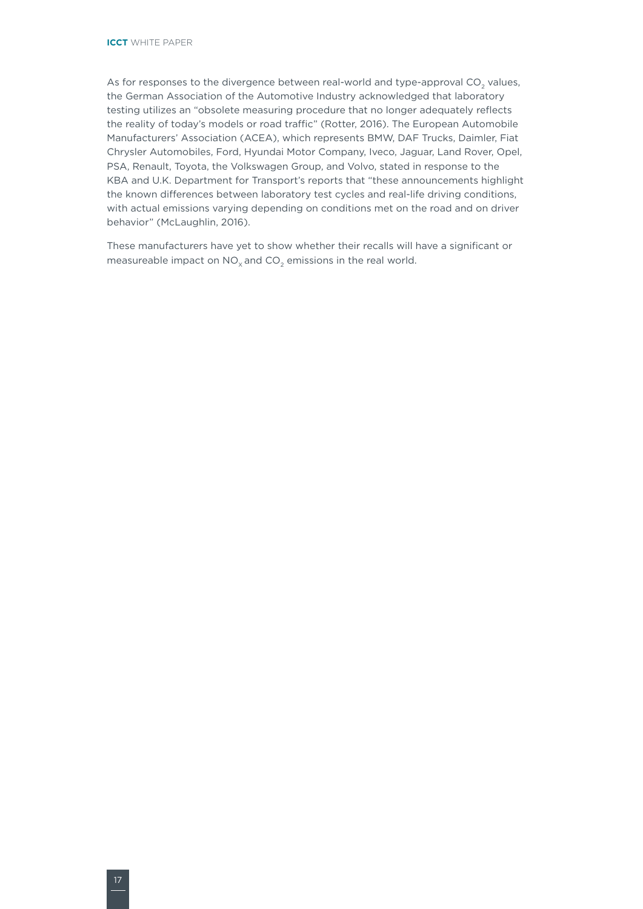As for responses to the divergence between real-world and type-approval  $CO<sub>2</sub>$  values, the German Association of the Automotive Industry acknowledged that laboratory testing utilizes an "obsolete measuring procedure that no longer adequately reflects the reality of today's models or road traffic" (Rotter, 2016). The European Automobile Manufacturers' Association (ACEA), which represents BMW, DAF Trucks, Daimler, Fiat Chrysler Automobiles, Ford, Hyundai Motor Company, Iveco, Jaguar, Land Rover, Opel, PSA, Renault, Toyota, the Volkswagen Group, and Volvo, stated in response to the KBA and U.K. Department for Transport's reports that "these announcements highlight the known differences between laboratory test cycles and real-life driving conditions, with actual emissions varying depending on conditions met on the road and on driver behavior" (McLaughlin, 2016).

These manufacturers have yet to show whether their recalls will have a significant or measureable impact on  $NO_x$  and  $CO_2$  emissions in the real world.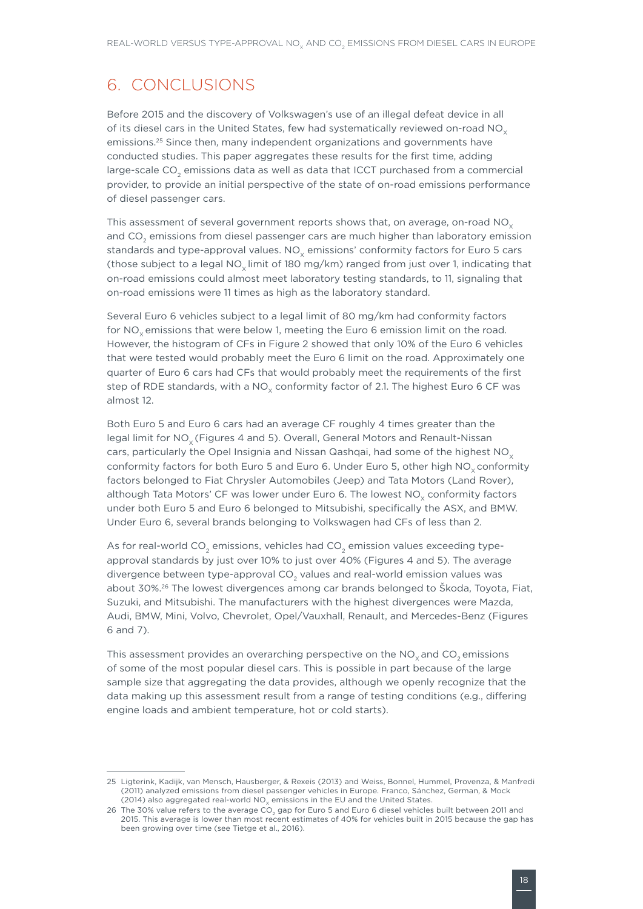# <span id="page-26-0"></span>6. CONCLUSIONS

Before 2015 and the discovery of Volkswagen's use of an illegal defeat device in all of its diesel cars in the United States, few had systematically reviewed on-road  $NO<sub>x</sub>$ emissions.25 Since then, many independent organizations and governments have conducted studies. This paper aggregates these results for the first time, adding large-scale  $CO<sub>2</sub>$  emissions data as well as data that ICCT purchased from a commercial provider, to provide an initial perspective of the state of on-road emissions performance of diesel passenger cars.

This assessment of several government reports shows that, on average, on-road  $NO<sub>x</sub>$ and CO<sub>2</sub> emissions from diesel passenger cars are much higher than laboratory emission standards and type-approval values.  $NO<sub>v</sub>$  emissions' conformity factors for Euro 5 cars (those subject to a legal NO<sub>v</sub> limit of 180 mg/km) ranged from just over 1, indicating that on-road emissions could almost meet laboratory testing standards, to 11, signaling that on-road emissions were 11 times as high as the laboratory standard.

Several Euro 6 vehicles subject to a legal limit of 80 mg/km had conformity factors for NO<sub>v</sub> emissions that were below 1, meeting the Euro 6 emission limit on the road. However, the histogram of CFs in Figure 2 showed that only 10% of the Euro 6 vehicles that were tested would probably meet the Euro 6 limit on the road. Approximately one quarter of Euro 6 cars had CFs that would probably meet the requirements of the first step of RDE standards, with a  $NO<sub>x</sub>$  conformity factor of 2.1. The highest Euro 6 CF was almost 12.

Both Euro 5 and Euro 6 cars had an average CF roughly 4 times greater than the legal limit for NO<sub>v</sub> (Figures 4 and 5). Overall, General Motors and Renault-Nissan cars, particularly the Opel Insignia and Nissan Qashqai, had some of the highest  $NO<sub>x</sub>$ conformity factors for both Euro 5 and Euro 6. Under Euro 5, other high  $NO<sub>x</sub>$  conformity factors belonged to Fiat Chrysler Automobiles (Jeep) and Tata Motors (Land Rover), although Tata Motors' CF was lower under Euro 6. The lowest NO<sub>y</sub> conformity factors under both Euro 5 and Euro 6 belonged to Mitsubishi, specifically the ASX, and BMW. Under Euro 6, several brands belonging to Volkswagen had CFs of less than 2.

As for real-world CO<sub>2</sub> emissions, vehicles had CO<sub>2</sub> emission values exceeding typeapproval standards by just over 10% to just over 40% (Figures 4 and 5). The average divergence between type-approval CO<sub>2</sub> values and real-world emission values was about 30%.26 The lowest divergences among car brands belonged to Škoda, Toyota, Fiat, Suzuki, and Mitsubishi. The manufacturers with the highest divergences were Mazda, Audi, BMW, Mini, Volvo, Chevrolet, Opel/Vauxhall, Renault, and Mercedes-Benz (Figures 6 and 7).

This assessment provides an overarching perspective on the NO<sub>v</sub> and CO<sub>2</sub> emissions of some of the most popular diesel cars. This is possible in part because of the large sample size that aggregating the data provides, although we openly recognize that the data making up this assessment result from a range of testing conditions (e.g., differing engine loads and ambient temperature, hot or cold starts).

<sup>25</sup> Ligterink, Kadijk, van Mensch, Hausberger, & Rexeis (2013) and Weiss, Bonnel, Hummel, Provenza, & Manfredi (2011) analyzed emissions from diesel passenger vehicles in Europe. Franco, Sánchez, German, & Mock  $(2014)$  also aggregated real-world NO<sub>V</sub> emissions in the EU and the United States.

<sup>26</sup> The 30% value refers to the average CO<sub>2</sub> gap for Euro 5 and Euro 6 diesel vehicles built between 2011 and 2015. This average is lower than most recent estimates of 40% for vehicles built in 2015 because the gap has been growing over time (see Tietge et al., 2016).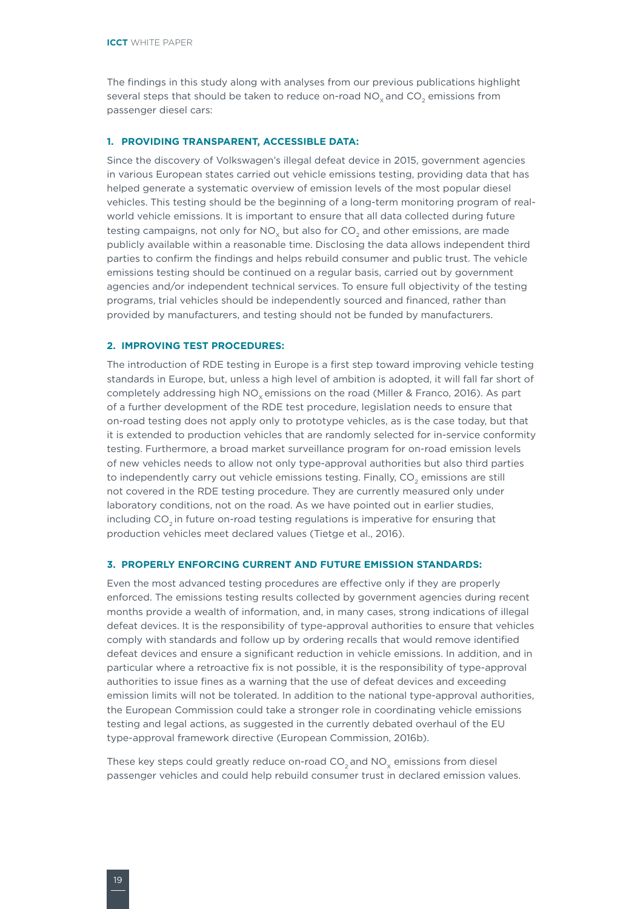The findings in this study along with analyses from our previous publications highlight several steps that should be taken to reduce on-road  $NO<sub>x</sub>$  and  $CO<sub>2</sub>$  emissions from passenger diesel cars:

#### **1. PROVIDING TRANSPARENT, ACCESSIBLE DATA:**

Since the discovery of Volkswagen's illegal defeat device in 2015, government agencies in various European states carried out vehicle emissions testing, providing data that has helped generate a systematic overview of emission levels of the most popular diesel vehicles. This testing should be the beginning of a long-term monitoring program of realworld vehicle emissions. It is important to ensure that all data collected during future testing campaigns, not only for  $NO<sub>v</sub>$  but also for  $CO<sub>2</sub>$  and other emissions, are made publicly available within a reasonable time. Disclosing the data allows independent third parties to confirm the findings and helps rebuild consumer and public trust. The vehicle emissions testing should be continued on a regular basis, carried out by government agencies and/or independent technical services. To ensure full objectivity of the testing programs, trial vehicles should be independently sourced and financed, rather than provided by manufacturers, and testing should not be funded by manufacturers.

#### **2. IMPROVING TEST PROCEDURES:**

The introduction of RDE testing in Europe is a first step toward improving vehicle testing standards in Europe, but, unless a high level of ambition is adopted, it will fall far short of completely addressing high NO<sub>v</sub> emissions on the road (Miller & Franco, 2016). As part of a further development of the RDE test procedure, legislation needs to ensure that on-road testing does not apply only to prototype vehicles, as is the case today, but that it is extended to production vehicles that are randomly selected for in-service conformity testing. Furthermore, a broad market surveillance program for on-road emission levels of new vehicles needs to allow not only type-approval authorities but also third parties to independently carry out vehicle emissions testing. Finally, CO<sub>2</sub> emissions are still not covered in the RDE testing procedure. They are currently measured only under laboratory conditions, not on the road. As we have pointed out in earlier studies, including CO<sub>2</sub> in future on-road testing regulations is imperative for ensuring that production vehicles meet declared values (Tietge et al., 2016).

### **3. PROPERLY ENFORCING CURRENT AND FUTURE EMISSION STANDARDS:**

Even the most advanced testing procedures are effective only if they are properly enforced. The emissions testing results collected by government agencies during recent months provide a wealth of information, and, in many cases, strong indications of illegal defeat devices. It is the responsibility of type-approval authorities to ensure that vehicles comply with standards and follow up by ordering recalls that would remove identified defeat devices and ensure a significant reduction in vehicle emissions. In addition, and in particular where a retroactive fix is not possible, it is the responsibility of type-approval authorities to issue fines as a warning that the use of defeat devices and exceeding emission limits will not be tolerated. In addition to the national type-approval authorities, the European Commission could take a stronger role in coordinating vehicle emissions testing and legal actions, as suggested in the currently debated overhaul of the EU type-approval framework directive (European Commission, 2016b).

These key steps could greatly reduce on-road  $CO<sub>2</sub>$  and  $NO<sub>y</sub>$  emissions from diesel passenger vehicles and could help rebuild consumer trust in declared emission values.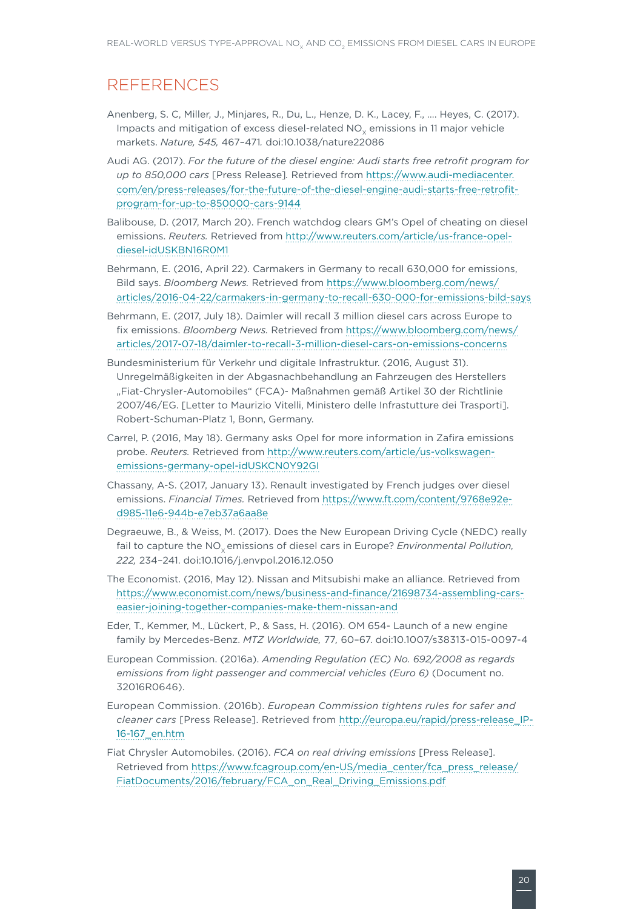### REFERENCES

- Anenberg, S. C, Miller, J., Minjares, R., Du, L., Henze, D. K., Lacey, F., …. Heyes, C. (2017). Impacts and mitigation of excess diesel-related NO<sub>y</sub> emissions in 11 major vehicle markets. *Nature, 545,* 467–471*.* [doi:10.1038/nature22086](http://dx.doi.org/10.1038/nature22086)
- Audi AG. (2017). *For the future of the diesel engine: Audi starts free retrofit program for up to 850,000 cars* [Press Release]*.* Retrieved from [https://www.audi-mediacenter.](https://www.audi-mediacenter.com/en/press-releases/for-the-future-of-the-diesel-engine-audi-starts-free-retrofit-program-for-up-to-850000-cars-9144) [com/en/press-releases/for-the-future-of-the-diesel-engine-audi-starts-free-retrofit](https://www.audi-mediacenter.com/en/press-releases/for-the-future-of-the-diesel-engine-audi-starts-free-retrofit-program-for-up-to-850000-cars-9144)[program-for-up-to-850000-cars-9144](https://www.audi-mediacenter.com/en/press-releases/for-the-future-of-the-diesel-engine-audi-starts-free-retrofit-program-for-up-to-850000-cars-9144)
- Balibouse, D. (2017, March 20). French watchdog clears GM's Opel of cheating on diesel emissions. *Reuters.* Retrieved from [http://www.reuters.com/article/us-france-opel](http://www.reuters.com/article/us-france-opel-diesel-idUSKBN16R0M1)[diesel-idUSKBN16R0M1](http://www.reuters.com/article/us-france-opel-diesel-idUSKBN16R0M1)
- Behrmann, E. (2016, April 22). Carmakers in Germany to recall 630,000 for emissions, Bild says. *Bloomberg News.* Retrieved from [https://www.bloomberg.com/news/](https://www.bloomberg.com/news/articles/2016-04-22/carmakers-in-germany-to-recall-630-000-for-emissions-bild-says) [articles/2016-04-22/carmakers-in-germany-to-recall-630-000-for-emissions-bild-says](https://www.bloomberg.com/news/articles/2016-04-22/carmakers-in-germany-to-recall-630-000-for-emissions-bild-says)
- Behrmann, E. (2017, July 18). Daimler will recall 3 million diesel cars across Europe to fix emissions. *Bloomberg News.* Retrieved from [https://www.bloomberg.com/news/](https://www.bloomberg.com/news/articles/2017-07-18/daimler-to-recall-3-million-diesel-cars-on-emissions-concerns) [articles/2017-07-18/daimler-to-recall-3-million-diesel-cars-on-emissions-concerns](https://www.bloomberg.com/news/articles/2017-07-18/daimler-to-recall-3-million-diesel-cars-on-emissions-concerns)
- Bundesministerium für Verkehr und digitale Infrastruktur. (2016, August 31). Unregelmäßigkeiten in der Abgasnachbehandlung an Fahrzeugen des Herstellers "Fiat-Chrysler-Automobiles" (FCA)- Maßnahmen gemäß Artikel 30 der Richtlinie 2007/46/EG. [Letter to Maurizio Vitelli, Ministero delle Infrastutture dei Trasporti]. Robert-Schuman-Platz 1, Bonn, Germany.
- Carrel, P. (2016, May 18). Germany asks Opel for more information in Zafira emissions probe. *Reuters.* Retrieved from [http://www.reuters.com/article/us-volkswagen](http://www.reuters.com/article/us-volkswagen-emissions-germany-opel-idUSKCN0Y92GI)[emissions-germany-opel-idUSKCN0Y92GI](http://www.reuters.com/article/us-volkswagen-emissions-germany-opel-idUSKCN0Y92GI)
- Chassany, A-S. (2017, January 13). Renault investigated by French judges over diesel emissions. *Financial Times.* Retrieved from [https://www.ft.com/content/9768e92e](https://www.ft.com/content/9768e92e-d985-11e6-944b-e7eb37a6aa8e)[d985-11e6-944b-e7eb37a6aa8e](https://www.ft.com/content/9768e92e-d985-11e6-944b-e7eb37a6aa8e)
- Degraeuwe, B., & Weiss, M. (2017). Does the New European Driving Cycle (NEDC) really fail to capture the NO<sub>v</sub> emissions of diesel cars in Europe? *Environmental Pollution*, *222,* 234–241. doi:10.1016/j.envpol.2016.12.050
- The Economist. (2016, May 12). Nissan and Mitsubishi make an alliance. Retrieved from [https://www.economist.com/news/business-and-finance/21698734-assembling-cars](https://www.economist.com/news/business-and-finance/21698734-assembling-cars-easier-joining-together-companies-make-them-nissan-and)[easier-joining-together-companies-make-them-nissan-and](https://www.economist.com/news/business-and-finance/21698734-assembling-cars-easier-joining-together-companies-make-them-nissan-and)
- Eder, T., Kemmer, M., Lückert, P., & Sass, H. (2016). OM 654- Launch of a new engine family by Mercedes-Benz. *MTZ Worldwide,* 77*,* 60–67. doi:10.1007/s38313-015-0097-4
- European Commission. (2016a). *Amending Regulation (EC) No. 692/2008 as regards emissions from light passenger and commercial vehicles (Euro 6)* (Document no. 32016R0646).
- European Commission. (2016b). *European Commission tightens rules for safer and cleaner cars* [Press Release]. Retrieved from [http://europa.eu/rapid/press-release\\_IP-](http://europa.eu/rapid/press-release_IP-16-167_en.htm)[16-167\\_en.htm](http://europa.eu/rapid/press-release_IP-16-167_en.htm)
- Fiat Chrysler Automobiles. (2016). *FCA on real driving emissions* [Press Release]. Retrieved from [https://www.fcagroup.com/en-US/media\\_center/fca\\_press\\_release/](https://www.fcagroup.com/en-US/media_center/fca_press_release/FiatDocuments/2016/february/FCA_on_Real_Driving_Emissions.pdf) [FiatDocuments/2016/february/FCA\\_on\\_Real\\_Driving\\_Emissions.pdf](https://www.fcagroup.com/en-US/media_center/fca_press_release/FiatDocuments/2016/february/FCA_on_Real_Driving_Emissions.pdf)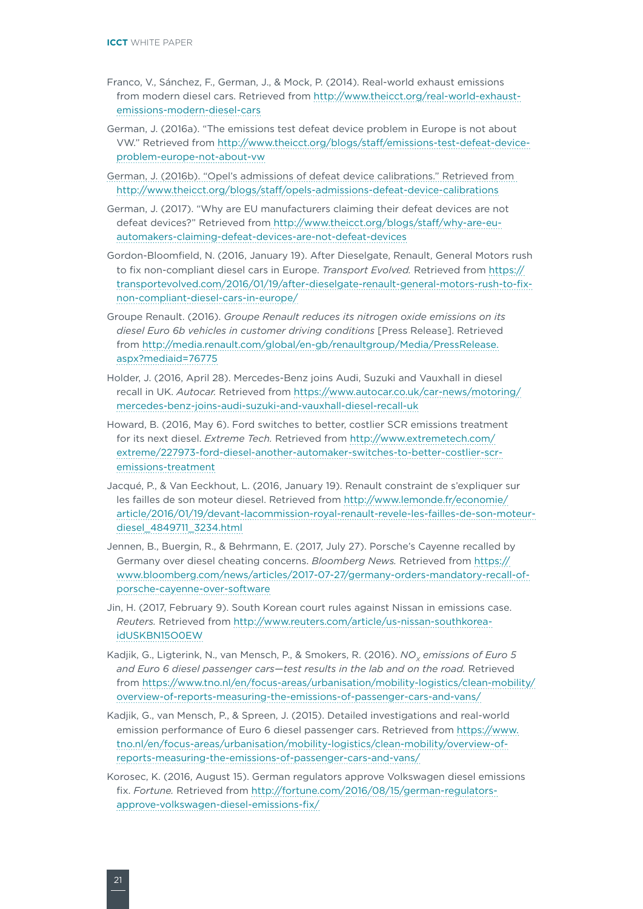- Franco, V., Sánchez, F., German, J., & Mock, P. (2014). Real-world exhaust emissions from modern diesel cars. Retrieved from [http://www.theicct.org/real-world-exhaust](http://www.theicct.org/real-world-exhaust-emissions-modern-diesel-cars)[emissions-modern-diesel-cars](http://www.theicct.org/real-world-exhaust-emissions-modern-diesel-cars)
- German, J. (2016a). "The emissions test defeat device problem in Europe is not about VW." Retrieved from [http://www.theicct.org/blogs/staff/emissions-test-defeat-device](http://www.theicct.org/blogs/staff/emissions-test-defeat-device-problem-europe-not-about-vw)[problem-europe-not-about-vw](http://www.theicct.org/blogs/staff/emissions-test-defeat-device-problem-europe-not-about-vw)
- German, J. (2016b). "Opel's admissions of defeat device calibrations." Retrieved from <http://www.theicct.org/blogs/staff/opels-admissions-defeat-device-calibrations>
- German, J. (2017). "Why are EU manufacturers claiming their defeat devices are not defeat devices?" Retrieved from [http://www.theicct.org/blogs/staff/why-are-eu](http://www.theicct.org/blogs/staff/why-are-eu-automakers-claiming-defeat-devices-are-not-defeat-devices)[automakers-claiming-defeat-devices-are-not-defeat-devices](http://www.theicct.org/blogs/staff/why-are-eu-automakers-claiming-defeat-devices-are-not-defeat-devices)
- Gordon-Bloomfield, N. (2016, January 19). After Dieselgate, Renault, General Motors rush to fix non-compliant diesel cars in Europe. *Transport Evolved.* Retrieved from [https://](https://transportevolved.com/2016/01/19/after-dieselgate-renault-general-motors-rush-to-fix-non-compliant-diesel-cars-in-europe/) [transportevolved.com/2016/01/19/after-dieselgate-renault-general-motors-rush-to-fix](https://transportevolved.com/2016/01/19/after-dieselgate-renault-general-motors-rush-to-fix-non-compliant-diesel-cars-in-europe/)[non-compliant-diesel-cars-in-europe/](https://transportevolved.com/2016/01/19/after-dieselgate-renault-general-motors-rush-to-fix-non-compliant-diesel-cars-in-europe/)
- Groupe Renault. (2016). *Groupe Renault reduces its nitrogen oxide emissions on its diesel Euro 6b vehicles in customer driving conditions* [Press Release]. Retrieved from [http://media.renault.com/global/en-gb/renaultgroup/Media/PressRelease.](http://media.renault.com/global/en-gb/renaultgroup/Media/PressRelease.aspx?mediaid=76775) [aspx?mediaid=76775](http://media.renault.com/global/en-gb/renaultgroup/Media/PressRelease.aspx?mediaid=76775)
- Holder, J. (2016, April 28). Mercedes-Benz joins Audi, Suzuki and Vauxhall in diesel recall in UK. *Autocar.* Retrieved from [https://www.autocar.co.uk/car-news/motoring/](https://www.autocar.co.uk/car-news/motoring/mercedes-benz-joins-audi-suzuki-and-vauxhall-diesel-recall-uk) [mercedes-benz-joins-audi-suzuki-and-vauxhall-diesel-recall-uk](https://www.autocar.co.uk/car-news/motoring/mercedes-benz-joins-audi-suzuki-and-vauxhall-diesel-recall-uk)
- Howard, B. (2016, May 6). Ford switches to better, costlier SCR emissions treatment for its next diesel. *Extreme Tech.* Retrieved from [http://www.extremetech.com/](http://www.extremetech.com/extreme/227973-ford-diesel-another-automaker-switches-to-better-costlier-scr-emissions-treatment) [extreme/227973-ford-diesel-another-automaker-switches-to-better-costlier-scr](http://www.extremetech.com/extreme/227973-ford-diesel-another-automaker-switches-to-better-costlier-scr-emissions-treatment)[emissions-treatment](http://www.extremetech.com/extreme/227973-ford-diesel-another-automaker-switches-to-better-costlier-scr-emissions-treatment)
- Jacqué, P., & Van Eeckhout, L. (2016, January 19). Renault constraint de s'expliquer sur les failles de son moteur diesel. Retrieved from [http://www.lemonde.fr/economie/](http://www.lemonde.fr/economie/article/2016/01/19/devant-lacommission-royal-renault-revele-les-failles-de-son-moteur-diesel_4849711_3234.html) [article/2016/01/19/devant-lacommission-royal-renault-revele-les-failles-de-son-moteur](http://www.lemonde.fr/economie/article/2016/01/19/devant-lacommission-royal-renault-revele-les-failles-de-son-moteur-diesel_4849711_3234.html)[diesel\\_4849711\\_3234.html](http://www.lemonde.fr/economie/article/2016/01/19/devant-lacommission-royal-renault-revele-les-failles-de-son-moteur-diesel_4849711_3234.html)
- Jennen, B., Buergin, R., & Behrmann, E. (2017, July 27). Porsche's Cayenne recalled by Germany over diesel cheating concerns. *Bloomberg News.* Retrieved from [https://](https://www.bloomberg.com/news/articles/2017-07-27/germany-orders-mandatory-recall-of-porsche-cayenne-over-software) [www.bloomberg.com/news/articles/2017-07-27/germany-orders-mandatory-recall-of](https://www.bloomberg.com/news/articles/2017-07-27/germany-orders-mandatory-recall-of-porsche-cayenne-over-software)[porsche-cayenne-over-software](https://www.bloomberg.com/news/articles/2017-07-27/germany-orders-mandatory-recall-of-porsche-cayenne-over-software)
- Jin, H. (2017, February 9). South Korean court rules against Nissan in emissions case. *Reuters.* Retrieved from [http://www.reuters.com/article/us-nissan-southkorea](http://www.reuters.com/article/us-nissan-southkorea-idUSKBN15O0EW)[idUSKBN15O0EW](http://www.reuters.com/article/us-nissan-southkorea-idUSKBN15O0EW)
- Kadjik, G., Ligterink, N., van Mensch, P., & Smokers, R. (2016). *NO<sub>v</sub> emissions of Euro 5 and Euro 6 diesel passenger cars—test results in the lab and on the road.* Retrieved from [https://www.tno.nl/en/focus-areas/urbanisation/mobility-logistics/clean-mobility/](https://www.tno.nl/en/focus-areas/urbanisation/mobility-logistics/clean-mobility/overview-of-reports-measuring-the-emissions-of-passenger-cars-and-vans/) [overview-of-reports-measuring-the-emissions-of-passenger-cars-and-vans/](https://www.tno.nl/en/focus-areas/urbanisation/mobility-logistics/clean-mobility/overview-of-reports-measuring-the-emissions-of-passenger-cars-and-vans/)
- Kadjik, G., van Mensch, P., & Spreen, J. (2015). Detailed investigations and real-world emission performance of Euro 6 diesel passenger cars. Retrieved from [https://www.](https://www.tno.nl/en/focus-areas/urbanisation/mobility-logistics/clean-mobility/overview-of-reports-measuring-the-emissions-of-passenger-cars-and-vans/) [tno.nl/en/focus-areas/urbanisation/mobility-logistics/clean-mobility/overview-of](https://www.tno.nl/en/focus-areas/urbanisation/mobility-logistics/clean-mobility/overview-of-reports-measuring-the-emissions-of-passenger-cars-and-vans/)[reports-measuring-the-emissions-of-passenger-cars-and-vans/](https://www.tno.nl/en/focus-areas/urbanisation/mobility-logistics/clean-mobility/overview-of-reports-measuring-the-emissions-of-passenger-cars-and-vans/)
- Korosec, K. (2016, August 15). German regulators approve Volkswagen diesel emissions fix. *Fortune.* Retrieved from [http://fortune.com/2016/08/15/german-regulators](http://fortune.com/2016/08/15/german-regulators-approve-volkswagen-diesel-emissions-fix/)[approve-volkswagen-diesel-emissions-fix/](http://fortune.com/2016/08/15/german-regulators-approve-volkswagen-diesel-emissions-fix/)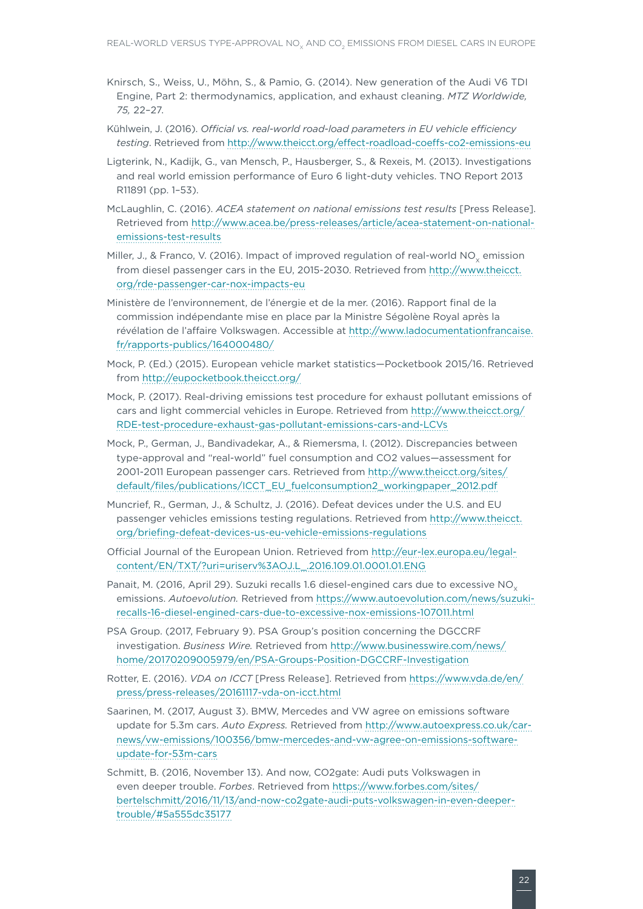- Knirsch, S., Weiss, U., Möhn, S., & Pamio, G. (2014). New generation of the Audi V6 TDI Engine, Part 2: thermodynamics, application, and exhaust cleaning. *MTZ Worldwide, 75,* 22–27.
- Kühlwein, J. (2016). *Official vs. real-world road-load parameters in EU vehicle efficiency testing*. Retrieved from http://www.theicct.org/effect-roadload-coeffs-co2-emissions-eu
- Ligterink, N., Kadijk, G., van Mensch, P., Hausberger, S., & Rexeis, M. (2013). Investigations and real world emission performance of Euro 6 light-duty vehicles. TNO Report 2013 R11891 (pp. 1–53).
- McLaughlin, C. (2016). *ACEA statement on national emissions test results* [Press Release]. Retrieved from [http://www.acea.be/press-releases/article/acea-statement-on-national](http://www.acea.be/press-releases/article/acea-statement-on-national-emissions-test-results)[emissions-test-results](http://www.acea.be/press-releases/article/acea-statement-on-national-emissions-test-results)
- Miller, J., & Franco, V. (2016). Impact of improved regulation of real-world NO<sub>v</sub> emission from diesel passenger cars in the EU, 2015-2030. Retrieved from [http://www.theicct.](http://www.theicct.org/rde-passenger-car-nox-impacts-eu) [org/rde-passenger-car-nox-impacts-eu](http://www.theicct.org/rde-passenger-car-nox-impacts-eu)
- Ministère de l'environnement, de l'énergie et de la mer. (2016). Rapport final de la commission indépendante mise en place par la Ministre Ségolène Royal après la révélation de l'affaire Volkswagen. Accessible at [http://www.ladocumentationfrancaise.](http://www.ladocumentationfrancaise.fr/rapports-publics/164000480/) [fr/rapports-publics/164000480/](http://www.ladocumentationfrancaise.fr/rapports-publics/164000480/)
- Mock, P. (Ed.) (2015). European vehicle market statistics—Pocketbook 2015/16. Retrieved from <http://eupocketbook.theicct.org/>
- Mock, P. (2017). Real-driving emissions test procedure for exhaust pollutant emissions of cars and light commercial vehicles in Europe. Retrieved from [http://www.theicct.org/](http://www.theicct.org/RDE-test-procedure-exhaust-gas-pollutant-emissions-cars-and-LCVs) [RDE-test-procedure-exhaust-gas-pollutant-emissions-cars-and-LCVs](http://www.theicct.org/RDE-test-procedure-exhaust-gas-pollutant-emissions-cars-and-LCVs)
- Mock, P., German, J., Bandivadekar, A., & Riemersma, I. (2012). Discrepancies between type-approval and "real-world" fuel consumption and CO2 values—assessment for 2001-2011 European passenger cars. Retrieved from [http://www.theicct.org/sites/](http://www.theicct.org/sites/default/files/publications/ICCT_EU_fuelconsumption2_workingpaper_2012.pdf) [default/files/publications/ICCT\\_EU\\_fuelconsumption2\\_workingpaper\\_2012.pdf](http://www.theicct.org/sites/default/files/publications/ICCT_EU_fuelconsumption2_workingpaper_2012.pdf)
- Muncrief, R., German, J., & Schultz, J. (2016). Defeat devices under the U.S. and EU passenger vehicles emissions testing regulations. Retrieved from [http://www.theicct.](http://www.theicct.org/briefing-defeat-devices-us-eu-vehicle-emissions-regulations) [org/briefing-defeat-devices-us-eu-vehicle-emissions-regulations](http://www.theicct.org/briefing-defeat-devices-us-eu-vehicle-emissions-regulations)
- Official Journal of the European Union. Retrieved from [http://eur-lex.europa.eu/legal](http://eur-lex.europa.eu/legal-content/EN/TXT/?uri=uriserv%3AOJ.L_.2016.109.01.0001.01.ENG)[content/EN/TXT/?uri=uriserv%3AOJ.L\\_.2016.109.01.0001.01.ENG](http://eur-lex.europa.eu/legal-content/EN/TXT/?uri=uriserv%3AOJ.L_.2016.109.01.0001.01.ENG)
- Panait, M. (2016, April 29). Suzuki recalls 1.6 diesel-engined cars due to excessive NO<sub>v</sub> emissions. *Autoevolution.* Retrieved from [https://www.autoevolution.com/news/suzuki](https://www.autoevolution.com/news/suzuki-recalls-16-diesel-engined-cars-due-to-excessive-nox-emissions-107011.html)[recalls-16-diesel-engined-cars-due-to-excessive-nox-emissions-107011.html](https://www.autoevolution.com/news/suzuki-recalls-16-diesel-engined-cars-due-to-excessive-nox-emissions-107011.html)
- PSA Group. (2017, February 9). PSA Group's position concerning the DGCCRF investigation. *Business Wire.* Retrieved from [http://www.businesswire.com/news/](http://www.businesswire.com/news/home/20170209005979/en/PSA-Groups-Position-DGCCRF-Investigation) [home/20170209005979/en/PSA-Groups-Position-DGCCRF-Investigation](http://www.businesswire.com/news/home/20170209005979/en/PSA-Groups-Position-DGCCRF-Investigation)
- Rotter, E. (2016). *VDA on ICCT* [Press Release]. Retrieved from [https://www.vda.de/en/](https://www.vda.de/en/press/press-releases/20161117-vda-on-icct.html) [press/press-releases/20161117-vda-on-icct.html](https://www.vda.de/en/press/press-releases/20161117-vda-on-icct.html)
- Saarinen, M. (2017, August 3). BMW, Mercedes and VW agree on emissions software update for 5.3m cars. *Auto Express.* Retrieved from [http://www.autoexpress.co.uk/car](http://www.autoexpress.co.uk/car-news/vw-emissions/100356/bmw-mercedes-and-vw-agree-on-emissions-software-update-for-53m-cars)[news/vw-emissions/100356/bmw-mercedes-and-vw-agree-on-emissions-software](http://www.autoexpress.co.uk/car-news/vw-emissions/100356/bmw-mercedes-and-vw-agree-on-emissions-software-update-for-53m-cars)[update-for-53m-cars](http://www.autoexpress.co.uk/car-news/vw-emissions/100356/bmw-mercedes-and-vw-agree-on-emissions-software-update-for-53m-cars)
- Schmitt, B. (2016, November 13). And now, CO2gate: Audi puts Volkswagen in even deeper trouble. *Forbes*. Retrieved from [https://www.forbes.com/sites/](https://www.forbes.com/sites/bertelschmitt/2016/11/13/and-now-co2gate-audi-puts-volkswagen-in-even-deeper-trouble/#5a555dc35177) [bertelschmitt/2016/11/13/and-now-co2gate-audi-puts-volkswagen-in-even-deeper](https://www.forbes.com/sites/bertelschmitt/2016/11/13/and-now-co2gate-audi-puts-volkswagen-in-even-deeper-trouble/#5a555dc35177)[trouble/#5a555dc35177](https://www.forbes.com/sites/bertelschmitt/2016/11/13/and-now-co2gate-audi-puts-volkswagen-in-even-deeper-trouble/#5a555dc35177)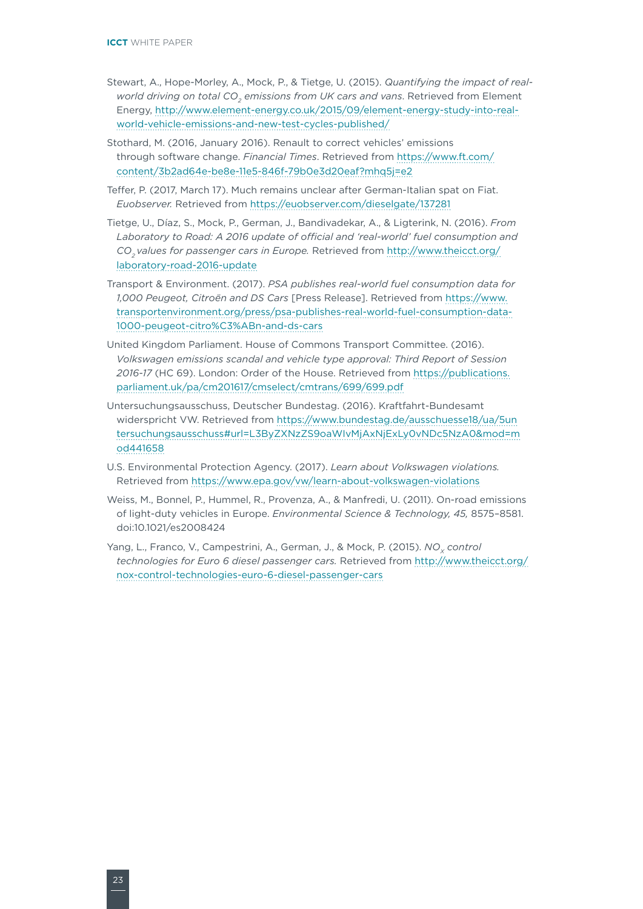- Stewart, A., Hope-Morley, A., Mock, P., & Tietge, U. (2015). *Quantifying the impact of realworld driving on total CO<sub>2</sub> emissions from UK cars and vans. Retrieved from Element* Energy, [http://www.element-energy.co.uk/2015/09/element-energy-study-into-real](http://www.element-energy.co.uk/2015/09/element-energy-study-into-real-world-vehicle-emissions-and-new-test-cycles-published/)[world-vehicle-emissions-and-new-test-cycles-published/](http://www.element-energy.co.uk/2015/09/element-energy-study-into-real-world-vehicle-emissions-and-new-test-cycles-published/)
- Stothard, M. (2016, January 2016). Renault to correct vehicles' emissions through software change. *Financial Times*. Retrieved from [https://www.ft.com/](https://www.ft.com/content/3b2ad64e-be8e-11e5-846f-79b0e3d20eaf?mhq5j=e2) [content/3b2ad64e-be8e-11e5-846f-79b0e3d20eaf?mhq5j=e2](https://www.ft.com/content/3b2ad64e-be8e-11e5-846f-79b0e3d20eaf?mhq5j=e2)
- Teffer, P. (2017, March 17). Much remains unclear after German-Italian spat on Fiat. *Euobserver.* Retrieved from <https://euobserver.com/dieselgate/137281>
- Tietge, U., Díaz, S., Mock, P., German, J., Bandivadekar, A., & Ligterink, N. (2016). *From Laboratory to Road: A 2016 update of official and 'real-world' fuel consumption and CO2 values for passenger cars in Europe.* Retrieved from [http://www.theicct.org/](http://www.theicct.org/laboratory-road-2016-update) [laboratory-road-2016-update](http://www.theicct.org/laboratory-road-2016-update)
- Transport & Environment. (2017). *PSA publishes real-world fuel consumption data for 1,000 Peugeot, Citroën and DS Cars* [Press Release]. Retrieved from [https://www.](https://www.transportenvironment.org/press/psa-publishes-real-world-fuel-consumption-data-1000-peugeot-citro%C3%ABn-and-ds-cars) [transportenvironment.org/press/psa-publishes-real-world-fuel-consumption-data-](https://www.transportenvironment.org/press/psa-publishes-real-world-fuel-consumption-data-1000-peugeot-citro%C3%ABn-and-ds-cars)[1000-peugeot-citro%C3%ABn-and-ds-cars](https://www.transportenvironment.org/press/psa-publishes-real-world-fuel-consumption-data-1000-peugeot-citro%C3%ABn-and-ds-cars)
- United Kingdom Parliament. House of Commons Transport Committee. (2016). *Volkswagen emissions scandal and vehicle type approval: Third Report of Session 2016-17* (HC 69). London: Order of the House. Retrieved from [https://publications.](https://publications.parliament.uk/pa/cm201617/cmselect/cmtrans/699/699.pdf) [parliament.uk/pa/cm201617/cmselect/cmtrans/699/699.pdf](https://publications.parliament.uk/pa/cm201617/cmselect/cmtrans/699/699.pdf)
- Untersuchungsausschuss, Deutscher Bundestag. (2016). Kraftfahrt-Bundesamt widerspricht VW. Retrieved from [https://www.bundestag.de/ausschuesse18/ua/5un](https://www.bundestag.de/ausschuesse18/ua/5untersuchungsausschuss#url=L3ByZXNzZS9oaWIvMjAxNjExLy0vNDc5NzA0&mod=mod441658) [tersuchungsausschuss#url=L3ByZXNzZS9oaWIvMjAxNjExLy0vNDc5NzA0&mod=m](https://www.bundestag.de/ausschuesse18/ua/5untersuchungsausschuss#url=L3ByZXNzZS9oaWIvMjAxNjExLy0vNDc5NzA0&mod=mod441658) [od441658](https://www.bundestag.de/ausschuesse18/ua/5untersuchungsausschuss#url=L3ByZXNzZS9oaWIvMjAxNjExLy0vNDc5NzA0&mod=mod441658)
- U.S. Environmental Protection Agency. (2017). *Learn about Volkswagen violations.* Retrieved from<https://www.epa.gov/vw/learn-about-volkswagen-violations>
- Weiss, M., Bonnel, P., Hummel, R., Provenza, A., & Manfredi, U. (2011). On-road emissions of light-duty vehicles in Europe. *Environmental Science & Technology, 45,* 8575–8581. doi:10.1021/es2008424
- Yang, L., Franco, V., Campestrini, A., German, J., & Mock, P. (2015). *NO<sub>v</sub>* control *technologies for Euro 6 diesel passenger cars.* Retrieved from [http://www.theicct.org/](http://www.theicct.org/nox-control-technologies-euro-6-diesel-passenger-cars) [nox-control-technologies-euro-6-diesel-passenger-cars](http://www.theicct.org/nox-control-technologies-euro-6-diesel-passenger-cars)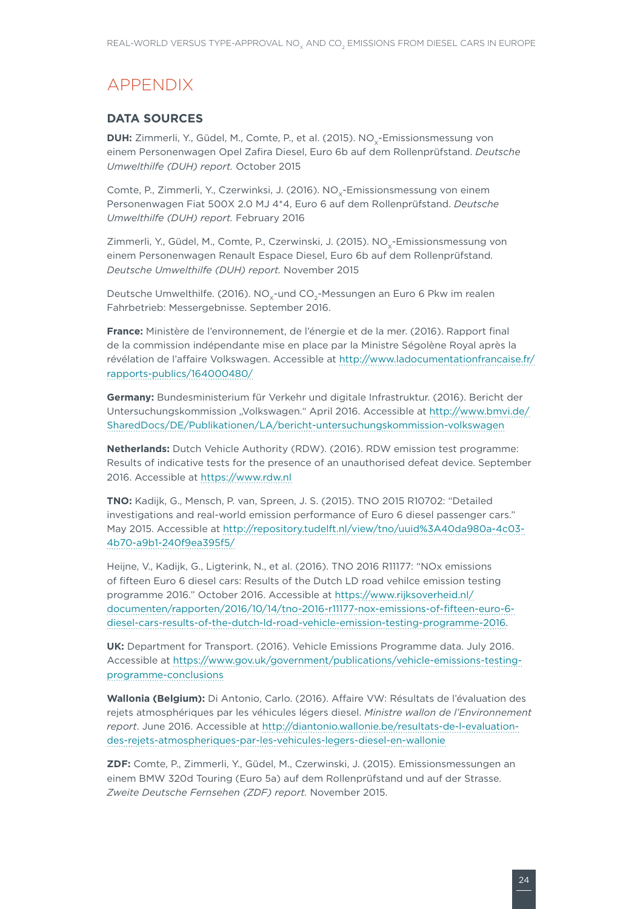# APPENDIX

### **DATA SOURCES**

**DUH:** Zimmerli, Y., Güdel, M., Comte, P., et al. (2015). NO<sub>v</sub>-Emissionsmessung von einem Personenwagen Opel Zafira Diesel, Euro 6b auf dem Rollenprüfstand. *Deutsche Umwelthilfe (DUH) report.* October 2015

Comte, P., Zimmerli, Y., Czerwinksi, J. (2016). NO<sub>v</sub>-Emissionsmessung von einem Personenwagen Fiat 500X 2.0 MJ 4\*4, Euro 6 auf dem Rollenprüfstand. *Deutsche Umwelthilfe (DUH) report.* February 2016

Zimmerli, Y., Güdel, M., Comte, P., Czerwinski, J. (2015). NO<sub>v</sub>-Emissionsmessung von einem Personenwagen Renault Espace Diesel, Euro 6b auf dem Rollenprüfstand. *Deutsche Umwelthilfe (DUH) report.* November 2015

Deutsche Umwelthilfe. (2016). NO<sub>v</sub>-und CO<sub>2</sub>-Messungen an Euro 6 Pkw im realen Fahrbetrieb: Messergebnisse. September 2016.

**France:** Ministère de l'environnement, de l'énergie et de la mer. (2016). Rapport final de la commission indépendante mise en place par la Ministre Ségolène Royal après la révélation de l'affaire Volkswagen. Accessible at [http://www.ladocumentationfrancaise.fr/](http://www.ladocumentationfrancaise.fr/rapports-publics/164000480/) [rapports-publics/164000480/](http://www.ladocumentationfrancaise.fr/rapports-publics/164000480/)

**Germany:** Bundesministerium für Verkehr und digitale Infrastruktur. (2016). Bericht der Untersuchungskommission "Volkswagen." April 2016. Accessible at [http://www.bmvi.de/](http://www.bmvi.de/SharedDocs/DE/Publikationen/LA/bericht-untersuchungskommission-volkswagen) [SharedDocs/DE/Publikationen/LA/bericht-untersuchungskommission-volkswagen](http://www.bmvi.de/SharedDocs/DE/Publikationen/LA/bericht-untersuchungskommission-volkswagen)

**Netherlands:** Dutch Vehicle Authority (RDW). (2016). RDW emission test programme: Results of indicative tests for the presence of an unauthorised defeat device. September 2016. Accessible at<https://www.rdw.nl>

**TNO:** Kadijk, G., Mensch, P. van, Spreen, J. S. (2015). TNO 2015 R10702: "Detailed investigations and real-world emission performance of Euro 6 diesel passenger cars." May 2015. Accessible at [http://repository.tudelft.nl/view/tno/uuid%3A40da980a-4c03-](http://repository.tudelft.nl/view/tno/uuid%3A40da980a-4c03-4b70-a9b1-240f9ea395f5/) [4b70-a9b1-240f9ea395f5/](http://repository.tudelft.nl/view/tno/uuid%3A40da980a-4c03-4b70-a9b1-240f9ea395f5/)

Heijne, V., Kadijk, G., Ligterink, N., et al. (2016). TNO 2016 R11177: "NOx emissions of fifteen Euro 6 diesel cars: Results of the Dutch LD road vehilce emission testing programme 2016." October 2016. Accessible at [https://www.rijksoverheid.nl/](https://www.rijksoverheid.nl/documenten/rapporten/2016/10/14/tno-2016-r11177-nox-emissions-of-fifteen-euro-6-diesel-cars-results-of-the-dutch-ld-road-vehicle-emission-testing-programme-2016) [documenten/rapporten/2016/10/14/tno-2016-r11177-nox-emissions-of-fifteen-euro-6](https://www.rijksoverheid.nl/documenten/rapporten/2016/10/14/tno-2016-r11177-nox-emissions-of-fifteen-euro-6-diesel-cars-results-of-the-dutch-ld-road-vehicle-emission-testing-programme-2016) [diesel-cars-results-of-the-dutch-ld-road-vehicle-emission-testing-programme-2016](https://www.rijksoverheid.nl/documenten/rapporten/2016/10/14/tno-2016-r11177-nox-emissions-of-fifteen-euro-6-diesel-cars-results-of-the-dutch-ld-road-vehicle-emission-testing-programme-2016).

**UK:** Department for Transport. (2016). Vehicle Emissions Programme data. July 2016. Accessible at [https://www.gov.uk/government/publications/vehicle-emissions-testing](https://www.gov.uk/government/publications/vehicle-emissions-testing-programme-conclusions)[programme-conclusions](https://www.gov.uk/government/publications/vehicle-emissions-testing-programme-conclusions)

**Wallonia (Belgium):** Di Antonio, Carlo. (2016). Affaire VW: Résultats de l'évaluation des rejets atmosphériques par les véhicules légers diesel. *Ministre wallon de l'Environnement report*. June 2016. Accessible at [http://diantonio.wallonie.be/resultats-de-l-evaluation](http://diantonio.wallonie.be/resultats-de-l-evaluation-des-rejets-atmospheriques-par-les-vehicules-legers-diesel-en-wallonie)[des-rejets-atmospheriques-par-les-vehicules-legers-diesel-en-wallonie](http://diantonio.wallonie.be/resultats-de-l-evaluation-des-rejets-atmospheriques-par-les-vehicules-legers-diesel-en-wallonie)

**ZDF:** Comte, P., Zimmerli, Y., Güdel, M., Czerwinski, J. (2015). Emissionsmessungen an einem BMW 320d Touring (Euro 5a) auf dem Rollenprüfstand und auf der Strasse. *Zweite Deutsche Fernsehen (ZDF) report.* November 2015.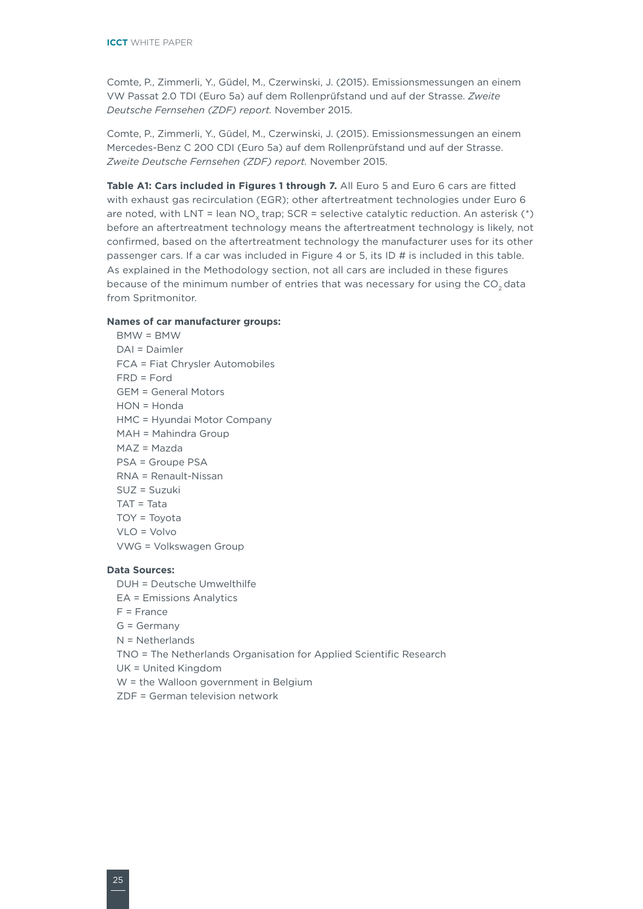Comte, P., Zimmerli, Y., Güdel, M., Czerwinski, J. (2015). Emissionsmessungen an einem VW Passat 2.0 TDI (Euro 5a) auf dem Rollenprüfstand und auf der Strasse. *Zweite Deutsche Fernsehen (ZDF) report.* November 2015.

Comte, P., Zimmerli, Y., Güdel, M., Czerwinski, J. (2015). Emissionsmessungen an einem Mercedes-Benz C 200 CDI (Euro 5a) auf dem Rollenprüfstand und auf der Strasse. *Zweite Deutsche Fernsehen (ZDF) report.* November 2015.

Table A1: Cars included in Figures 1 through 7. All Euro 5 and Euro 6 cars are fitted with exhaust gas recirculation (EGR); other aftertreatment technologies under Euro 6 are noted, with LNT = lean  $NO<sub>v</sub>$  trap; SCR = selective catalytic reduction. An asterisk (\*) before an aftertreatment technology means the aftertreatment technology is likely, not confirmed, based on the aftertreatment technology the manufacturer uses for its other passenger cars. If a car was included in Figure 4 or 5, its ID # is included in this table. As explained in the Methodology section, not all cars are included in these figures because of the minimum number of entries that was necessary for using the CO<sub>2</sub> data from Spritmonitor.

#### **Names of car manufacturer groups:**

BMW = BMW DAI = Daimler FCA = Fiat Chrysler Automobiles FRD = Ford GEM = General Motors HON = Honda HMC = Hyundai Motor Company MAH = Mahindra Group MAZ = Mazda PSA = Groupe PSA RNA = Renault-Nissan SUZ = Suzuki TAT = Tata TOY = Toyota VLO = Volvo VWG = Volkswagen Group

### **Data Sources:**

DUH = Deutsche Umwelthilfe EA = Emissions Analytics  $F =$ France G = Germany N = Netherlands TNO = The Netherlands Organisation for Applied Scientific Research UK = United Kingdom W = the Walloon government in Belgium ZDF = German television network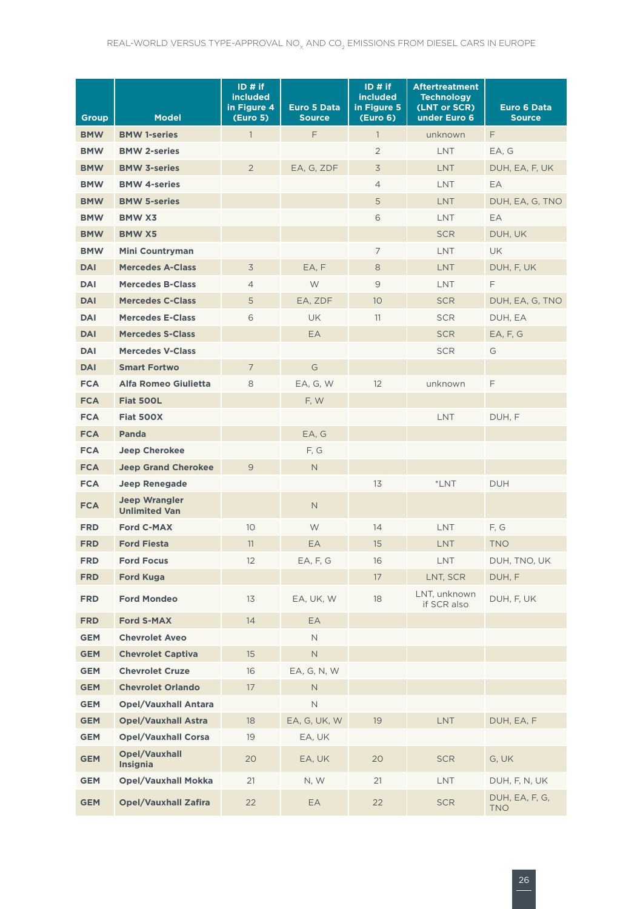| <b>Group</b> | <b>Model</b>                                 | $ID \# if$<br><b>included</b><br>in Figure 4<br><b>(Euro 5)</b> | <b>Euro 5 Data</b><br><b>Source</b> | ID# if<br><b>included</b><br>in Figure 5<br>(Euro <sub>6</sub> ) | <b>Aftertreatment</b><br><b>Technology</b><br>(LNT or SCR)<br>under Euro 6 | <b>Euro 6 Data</b><br><b>Source</b> |
|--------------|----------------------------------------------|-----------------------------------------------------------------|-------------------------------------|------------------------------------------------------------------|----------------------------------------------------------------------------|-------------------------------------|
| <b>BMW</b>   | <b>BMW 1-series</b>                          | $\overline{1}$                                                  | F                                   | $\mathbf{1}$                                                     | unknown                                                                    | F                                   |
| <b>BMW</b>   | <b>BMW 2-series</b>                          |                                                                 |                                     | $\overline{2}$                                                   | <b>LNT</b>                                                                 | EA, G                               |
| <b>BMW</b>   | <b>BMW 3-series</b>                          | $\overline{2}$                                                  | EA, G, ZDF                          | $\overline{3}$                                                   | LNT                                                                        | DUH, EA, F, UK                      |
| <b>BMW</b>   | <b>BMW 4-series</b>                          |                                                                 |                                     | $\overline{4}$                                                   | <b>LNT</b>                                                                 | EA                                  |
| <b>BMW</b>   | <b>BMW 5-series</b>                          |                                                                 |                                     | 5                                                                | <b>LNT</b>                                                                 | DUH, EA, G, TNO                     |
| <b>BMW</b>   | <b>BMW X3</b>                                |                                                                 |                                     | 6                                                                | <b>LNT</b>                                                                 | EA                                  |
| <b>BMW</b>   | <b>BMW X5</b>                                |                                                                 |                                     |                                                                  | <b>SCR</b>                                                                 | DUH, UK                             |
| <b>BMW</b>   | <b>Mini Countryman</b>                       |                                                                 |                                     | 7                                                                | <b>LNT</b>                                                                 | UK                                  |
| <b>DAI</b>   | <b>Mercedes A-Class</b>                      | 3                                                               | EA, F                               | 8                                                                | <b>LNT</b>                                                                 | DUH, F, UK                          |
| <b>DAI</b>   | <b>Mercedes B-Class</b>                      | $\overline{4}$                                                  | W                                   | 9                                                                | <b>LNT</b>                                                                 | F                                   |
| <b>DAI</b>   | <b>Mercedes C-Class</b>                      | 5                                                               | EA, ZDF                             | 10                                                               | <b>SCR</b>                                                                 | DUH, EA, G, TNO                     |
| <b>DAI</b>   | <b>Mercedes E-Class</b>                      | 6                                                               | <b>UK</b>                           | 11                                                               | <b>SCR</b>                                                                 | DUH, EA                             |
| <b>DAI</b>   | <b>Mercedes S-Class</b>                      |                                                                 | EA                                  |                                                                  | <b>SCR</b>                                                                 | EA, F, G                            |
| <b>DAI</b>   | <b>Mercedes V-Class</b>                      |                                                                 |                                     |                                                                  | <b>SCR</b>                                                                 | G                                   |
| <b>DAI</b>   | <b>Smart Fortwo</b>                          | $\overline{7}$                                                  | G                                   |                                                                  |                                                                            |                                     |
| <b>FCA</b>   | Alfa Romeo Giulietta                         | 8                                                               | EA, G, W                            | 12                                                               | unknown                                                                    | F                                   |
| <b>FCA</b>   | <b>Fiat 500L</b>                             |                                                                 | F, W                                |                                                                  |                                                                            |                                     |
| <b>FCA</b>   | <b>Fiat 500X</b>                             |                                                                 |                                     |                                                                  | <b>LNT</b>                                                                 | DUH, F                              |
| <b>FCA</b>   | <b>Panda</b>                                 |                                                                 | EA, G                               |                                                                  |                                                                            |                                     |
| <b>FCA</b>   | <b>Jeep Cherokee</b>                         |                                                                 | F, G                                |                                                                  |                                                                            |                                     |
| <b>FCA</b>   | <b>Jeep Grand Cherokee</b>                   | $\overline{9}$                                                  | $\mathsf{N}$                        |                                                                  |                                                                            |                                     |
| <b>FCA</b>   | <b>Jeep Renegade</b>                         |                                                                 |                                     | 13                                                               | *LNT                                                                       | <b>DUH</b>                          |
| <b>FCA</b>   | <b>Jeep Wrangler</b><br><b>Unlimited Van</b> |                                                                 | $\mathsf{N}$                        |                                                                  |                                                                            |                                     |
| <b>FRD</b>   | <b>Ford C-MAX</b>                            | 10                                                              | W                                   | 14                                                               | <b>LNT</b>                                                                 | F, G                                |
| <b>FRD</b>   | <b>Ford Fiesta</b>                           | 11                                                              | EA                                  | 15                                                               | <b>LNT</b>                                                                 | <b>TNO</b>                          |
| <b>FRD</b>   | <b>Ford Focus</b>                            | 12                                                              | EA, F, G                            | 16                                                               | LNT                                                                        | DUH, TNO, UK                        |
| <b>FRD</b>   | <b>Ford Kuga</b>                             |                                                                 |                                     | 17                                                               | LNT, SCR                                                                   | DUH, F                              |
| <b>FRD</b>   | <b>Ford Mondeo</b>                           | 13                                                              | EA, UK, W                           | 18                                                               | LNT, unknown<br>if SCR also                                                | DUH, F, UK                          |
| <b>FRD</b>   | <b>Ford S-MAX</b>                            | 14                                                              | EA                                  |                                                                  |                                                                            |                                     |
| <b>GEM</b>   | <b>Chevrolet Aveo</b>                        |                                                                 | N                                   |                                                                  |                                                                            |                                     |
| <b>GEM</b>   | <b>Chevrolet Captiva</b>                     | 15                                                              | $\mathsf N$                         |                                                                  |                                                                            |                                     |
| <b>GEM</b>   | <b>Chevrolet Cruze</b>                       | 16                                                              | EA, G, N, W                         |                                                                  |                                                                            |                                     |
| <b>GEM</b>   | <b>Chevrolet Orlando</b>                     | 17                                                              | $\mathsf{N}$                        |                                                                  |                                                                            |                                     |
| <b>GEM</b>   | <b>Opel/Vauxhall Antara</b>                  |                                                                 | $\mathsf N$                         |                                                                  |                                                                            |                                     |
| <b>GEM</b>   | <b>Opel/Vauxhall Astra</b>                   | 18                                                              | EA, G, UK, W                        | 19                                                               | <b>LNT</b>                                                                 | DUH, EA, F                          |
| <b>GEM</b>   | <b>Opel/Vauxhall Corsa</b>                   | 19                                                              | EA, UK                              |                                                                  |                                                                            |                                     |
| <b>GEM</b>   | <b>Opel/Vauxhall</b><br><b>Insignia</b>      | 20                                                              | EA, UK                              | 20                                                               | <b>SCR</b>                                                                 | G, UK                               |
| <b>GEM</b>   | <b>Opel/Vauxhall Mokka</b>                   | 21                                                              | N, W                                | 21                                                               | <b>LNT</b>                                                                 | DUH, F, N, UK                       |
| <b>GEM</b>   | <b>Opel/Vauxhall Zafira</b>                  | 22                                                              | EA                                  | 22                                                               | <b>SCR</b>                                                                 | DUH, EA, F, G,<br><b>TNO</b>        |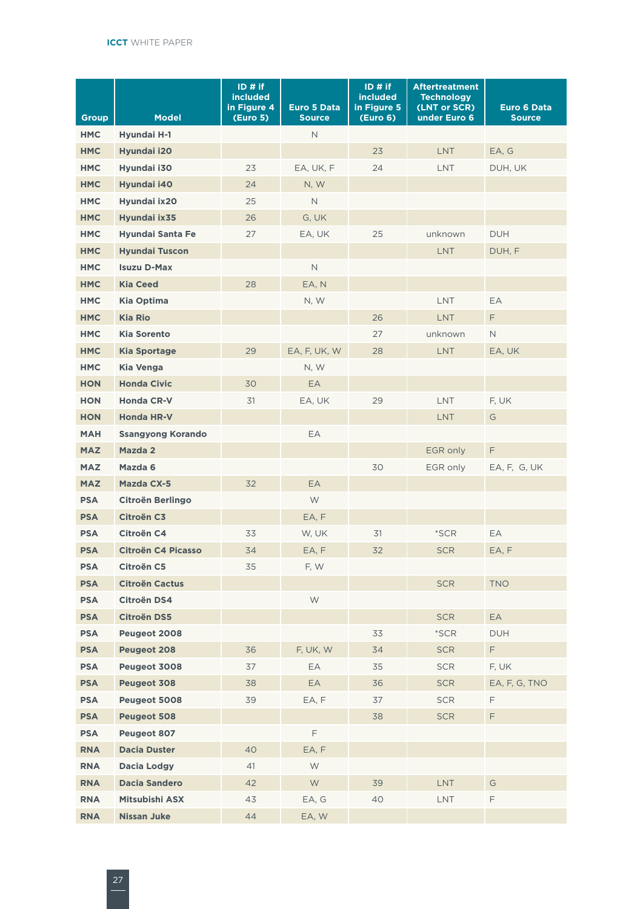| <b>Group</b> | <b>Model</b>              | $ID$ # if<br><b>included</b><br>in Figure 4<br><b>(Euro 5)</b> | <b>Euro 5 Data</b><br><b>Source</b> | ID# if<br><b>included</b><br>in Figure 5<br>(Euro <sub>6</sub> ) | <b>Aftertreatment</b><br><b>Technology</b><br>(LNT or SCR)<br>under Euro 6 | Euro 6 Data<br><b>Source</b> |
|--------------|---------------------------|----------------------------------------------------------------|-------------------------------------|------------------------------------------------------------------|----------------------------------------------------------------------------|------------------------------|
| <b>HMC</b>   | Hyundai H-1               |                                                                | $\mathsf{N}$                        |                                                                  |                                                                            |                              |
| <b>HMC</b>   | Hyundai i20               |                                                                |                                     | 23                                                               | <b>LNT</b>                                                                 | EA, G                        |
| <b>HMC</b>   | Hyundai i30               | 23                                                             | EA, UK, F                           | 24                                                               | <b>LNT</b>                                                                 | DUH, UK                      |
| <b>HMC</b>   | Hyundai i40               | 24                                                             | N, W                                |                                                                  |                                                                            |                              |
| <b>HMC</b>   | Hvundai ix20              | 25                                                             | $\mathbb N$                         |                                                                  |                                                                            |                              |
| <b>HMC</b>   | Hyundai ix35              | 26                                                             | G, UK                               |                                                                  |                                                                            |                              |
| <b>HMC</b>   | <b>Hyundai Santa Fe</b>   | 27                                                             | EA, UK                              | 25                                                               | unknown                                                                    | <b>DUH</b>                   |
| <b>HMC</b>   | <b>Hyundai Tuscon</b>     |                                                                |                                     |                                                                  | <b>LNT</b>                                                                 | DUH, F                       |
| <b>HMC</b>   | <b>Isuzu D-Max</b>        |                                                                | $\hbox{N}$                          |                                                                  |                                                                            |                              |
| <b>HMC</b>   | <b>Kia Ceed</b>           | 28                                                             | EA, N                               |                                                                  |                                                                            |                              |
| <b>HMC</b>   | <b>Kia Optima</b>         |                                                                | N, W                                |                                                                  | <b>LNT</b>                                                                 | EA                           |
| <b>HMC</b>   | <b>Kia Rio</b>            |                                                                |                                     | 26                                                               | <b>LNT</b>                                                                 | F.                           |
| <b>HMC</b>   | <b>Kia Sorento</b>        |                                                                |                                     | 27                                                               | unknown                                                                    | $\mathsf{N}$                 |
| <b>HMC</b>   | <b>Kia Sportage</b>       | 29                                                             | EA, F, UK, W                        | 28                                                               | <b>LNT</b>                                                                 | EA, UK                       |
| <b>HMC</b>   | <b>Kia Venga</b>          |                                                                | N, W                                |                                                                  |                                                                            |                              |
| <b>HON</b>   | <b>Honda Civic</b>        | 30                                                             | EA                                  |                                                                  |                                                                            |                              |
| <b>HON</b>   | <b>Honda CR-V</b>         | 31                                                             | EA, UK                              | 29                                                               | <b>LNT</b>                                                                 | F, UK                        |
| <b>HON</b>   | <b>Honda HR-V</b>         |                                                                |                                     |                                                                  | LNT                                                                        | G                            |
| <b>MAH</b>   | <b>Ssangyong Korando</b>  |                                                                | EA                                  |                                                                  |                                                                            |                              |
| <b>MAZ</b>   | Mazda 2                   |                                                                |                                     |                                                                  | EGR only                                                                   | F.                           |
| <b>MAZ</b>   | Mazda 6                   |                                                                |                                     | 30                                                               | EGR only                                                                   | EA, F, G, UK                 |
| <b>MAZ</b>   | Mazda CX-5                | 32                                                             | <b>EA</b>                           |                                                                  |                                                                            |                              |
| <b>PSA</b>   | <b>Citroën Berlingo</b>   |                                                                | W                                   |                                                                  |                                                                            |                              |
| <b>PSA</b>   | Citroën C3                |                                                                | EA, F                               |                                                                  |                                                                            |                              |
| <b>PSA</b>   | Citroën C4                | 33                                                             | W, UK                               | 31                                                               | $*SCR$                                                                     | EA                           |
| <b>PSA</b>   | <b>Citroën C4 Picasso</b> | 34                                                             | EA, F                               | 32                                                               | <b>SCR</b>                                                                 | EA, F                        |
| <b>PSA</b>   | Citroën C5                | 35                                                             | F, W                                |                                                                  |                                                                            |                              |
| <b>PSA</b>   | <b>Citroën Cactus</b>     |                                                                |                                     |                                                                  | <b>SCR</b>                                                                 | <b>TNO</b>                   |
| <b>PSA</b>   | Citroën DS4               |                                                                | W                                   |                                                                  |                                                                            |                              |
| <b>PSA</b>   | <b>Citroën DS5</b>        |                                                                |                                     |                                                                  | <b>SCR</b>                                                                 | EA                           |
| <b>PSA</b>   | Peugeot 2008              |                                                                |                                     | 33                                                               | $*SCR$                                                                     | <b>DUH</b>                   |
| <b>PSA</b>   | <b>Peugeot 208</b>        | 36                                                             | F, UK, W                            | 34                                                               | <b>SCR</b>                                                                 | F.                           |
| <b>PSA</b>   | Peugeot 3008              | 37                                                             | EA                                  | 35                                                               | <b>SCR</b>                                                                 | F, UK                        |
| <b>PSA</b>   | Peugeot 308               | 38                                                             | EA                                  | 36                                                               | <b>SCR</b>                                                                 | EA, F, G, TNO                |
| <b>PSA</b>   | Peugeot 5008              | 39                                                             | EA, F                               | 37                                                               | <b>SCR</b>                                                                 | F.                           |
| <b>PSA</b>   | <b>Peugeot 508</b>        |                                                                |                                     | 38                                                               | <b>SCR</b>                                                                 | F.                           |
| <b>PSA</b>   | Peugeot 807               |                                                                | F                                   |                                                                  |                                                                            |                              |
| <b>RNA</b>   | <b>Dacia Duster</b>       | 40                                                             | EA, F                               |                                                                  |                                                                            |                              |
| <b>RNA</b>   | Dacia Lodgy               | 41                                                             | W                                   |                                                                  |                                                                            |                              |
| <b>RNA</b>   | <b>Dacia Sandero</b>      | 42                                                             | W.                                  | 39                                                               | LNT                                                                        | G                            |
| <b>RNA</b>   | Mitsubishi ASX            | 43                                                             | EA, G                               | 40                                                               | <b>LNT</b>                                                                 | F                            |
| <b>RNA</b>   | <b>Nissan Juke</b>        | 44                                                             | EA, W                               |                                                                  |                                                                            |                              |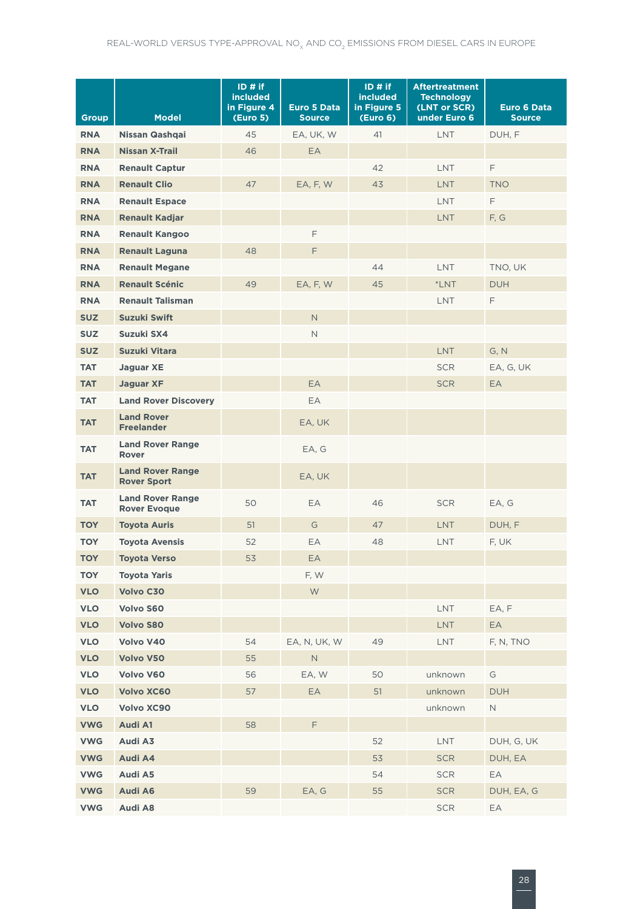| <b>Group</b> | <b>Model</b>                                   | ID#if<br><b>included</b><br>in Figure 4<br><b>(Euro 5)</b> | <b>Euro 5 Data</b><br><b>Source</b> | ID#if<br><b>included</b><br>in Figure 5<br>(Euro <sub>6</sub> ) | <b>Aftertreatment</b><br><b>Technology</b><br>(LNT or SCR)<br>under Euro 6 | Euro 6 Data<br><b>Source</b> |
|--------------|------------------------------------------------|------------------------------------------------------------|-------------------------------------|-----------------------------------------------------------------|----------------------------------------------------------------------------|------------------------------|
| <b>RNA</b>   | Nissan Qashqai                                 | 45                                                         | EA. UK. W                           | 41                                                              | <b>LNT</b>                                                                 | DUH, F                       |
| <b>RNA</b>   | <b>Nissan X-Trail</b>                          | 46                                                         | EA.                                 |                                                                 |                                                                            |                              |
| <b>RNA</b>   | <b>Renault Captur</b>                          |                                                            |                                     | 42                                                              | <b>LNT</b>                                                                 | F                            |
| <b>RNA</b>   | <b>Renault Clio</b>                            | 47                                                         | EA, F, W                            | 43                                                              | <b>LNT</b>                                                                 | <b>TNO</b>                   |
| <b>RNA</b>   | <b>Renault Espace</b>                          |                                                            |                                     |                                                                 | LNT                                                                        | F                            |
| <b>RNA</b>   | <b>Renault Kadjar</b>                          |                                                            |                                     |                                                                 | <b>LNT</b>                                                                 | F, G                         |
| <b>RNA</b>   | <b>Renault Kangoo</b>                          |                                                            | F                                   |                                                                 |                                                                            |                              |
| <b>RNA</b>   | <b>Renault Laguna</b>                          | 48                                                         | F                                   |                                                                 |                                                                            |                              |
| <b>RNA</b>   | <b>Renault Megane</b>                          |                                                            |                                     | 44                                                              | <b>LNT</b>                                                                 | TNO, UK                      |
| <b>RNA</b>   | <b>Renault Scénic</b>                          | 49                                                         | EA, F, W                            | 45                                                              | $*LNT$                                                                     | <b>DUH</b>                   |
| <b>RNA</b>   | <b>Renault Talisman</b>                        |                                                            |                                     |                                                                 | <b>LNT</b>                                                                 | F                            |
| <b>SUZ</b>   | <b>Suzuki Swift</b>                            |                                                            | $\mathsf N$                         |                                                                 |                                                                            |                              |
| <b>SUZ</b>   | Suzuki SX4                                     |                                                            | $\mathsf{N}$                        |                                                                 |                                                                            |                              |
| <b>SUZ</b>   | <b>Suzuki Vitara</b>                           |                                                            |                                     |                                                                 | <b>LNT</b>                                                                 | G, N                         |
| <b>TAT</b>   | <b>Jaguar XE</b>                               |                                                            |                                     |                                                                 | <b>SCR</b>                                                                 | EA, G, UK                    |
| <b>TAT</b>   | <b>Jaguar XF</b>                               |                                                            | <b>EA</b>                           |                                                                 | <b>SCR</b>                                                                 | <b>EA</b>                    |
| <b>TAT</b>   | <b>Land Rover Discovery</b>                    |                                                            | EA                                  |                                                                 |                                                                            |                              |
| <b>TAT</b>   | <b>Land Rover</b><br><b>Freelander</b>         |                                                            | EA, UK                              |                                                                 |                                                                            |                              |
| <b>TAT</b>   | <b>Land Rover Range</b><br><b>Rover</b>        |                                                            | EA, G                               |                                                                 |                                                                            |                              |
| <b>TAT</b>   | <b>Land Rover Range</b><br><b>Rover Sport</b>  |                                                            | EA, UK                              |                                                                 |                                                                            |                              |
| <b>TAT</b>   | <b>Land Rover Range</b><br><b>Rover Evoque</b> | 50                                                         | EA                                  | 46                                                              | <b>SCR</b>                                                                 | EA, G                        |
| <b>TOY</b>   | <b>Toyota Auris</b>                            | 51                                                         | G                                   | 47                                                              | <b>LNT</b>                                                                 | DUH, F                       |
| <b>TOY</b>   | <b>Toyota Avensis</b>                          | 52                                                         | EA                                  | 48                                                              | LNT                                                                        | F, UK                        |
| <b>TOY</b>   | <b>Toyota Verso</b>                            | 53                                                         | EA                                  |                                                                 |                                                                            |                              |
| <b>TOY</b>   | <b>Toyota Yaris</b>                            |                                                            | F, W                                |                                                                 |                                                                            |                              |
| <b>VLO</b>   | <b>Volvo C30</b>                               |                                                            | W                                   |                                                                 |                                                                            |                              |
| <b>VLO</b>   | Volvo S60                                      |                                                            |                                     |                                                                 | <b>LNT</b>                                                                 | EA, F                        |
| <b>VLO</b>   | <b>Volvo S80</b>                               |                                                            |                                     |                                                                 | <b>LNT</b>                                                                 | EA                           |
| <b>VLO</b>   | Volvo V40                                      | 54                                                         | EA, N, UK, W                        | 49                                                              | LNT                                                                        | F, N, TNO                    |
| <b>VLO</b>   | Volvo V50                                      | 55                                                         | $\hbox{N}$                          |                                                                 |                                                                            |                              |
| <b>VLO</b>   | Volvo V60                                      | 56                                                         | EA, W                               | 50                                                              | unknown                                                                    | G                            |
| <b>VLO</b>   | <b>Volvo XC60</b>                              | 57                                                         | EA                                  | 51                                                              | unknown                                                                    | <b>DUH</b>                   |
| <b>VLO</b>   | Volvo XC90                                     |                                                            |                                     |                                                                 | unknown                                                                    | $\mathsf N$                  |
| <b>VWG</b>   | Audi A1                                        | 58                                                         | F                                   |                                                                 |                                                                            |                              |
| <b>VWG</b>   | Audi A3                                        |                                                            |                                     | 52                                                              | LNT                                                                        | DUH, G, UK                   |
| <b>VWG</b>   | Audi A4                                        |                                                            |                                     | 53                                                              | <b>SCR</b>                                                                 | DUH, EA                      |
| <b>VWG</b>   | Audi A5                                        |                                                            |                                     | 54                                                              | <b>SCR</b>                                                                 | EA                           |
| <b>VWG</b>   | Audi A6                                        | 59                                                         | EA, G                               | 55                                                              | <b>SCR</b>                                                                 | DUH, EA, G                   |
| <b>VWG</b>   | <b>Audi A8</b>                                 |                                                            |                                     |                                                                 | <b>SCR</b>                                                                 | EA                           |